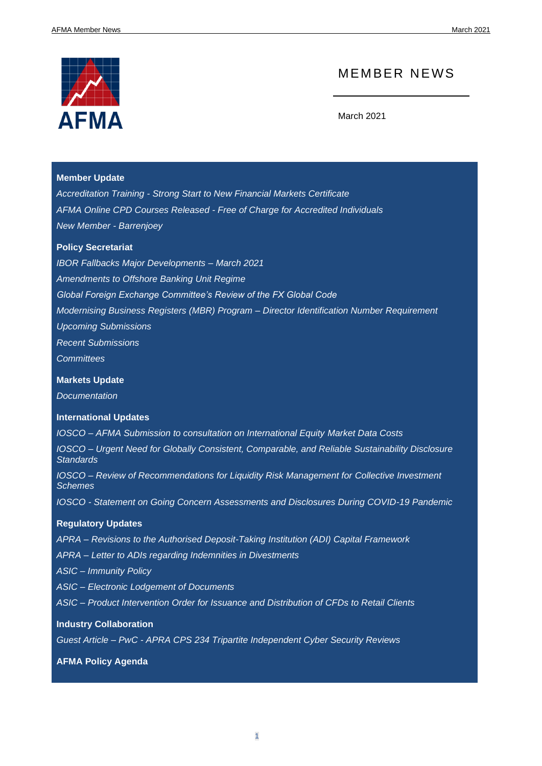

### MEMBER NEWS

March 2021

#### **[Member Update](#page-1-0)**

*Accreditation Training - [Strong Start to New Financial Markets Certificate](#page-1-1) AFMA Online CPD Courses Released - [Free of Charge for Accredited Individuals](#page-2-0) [New Member -](#page-2-1) Barrenjoey*

#### **[Policy Secretariat](#page-3-0)**

*[IBOR Fallbacks Major Developments –](#page-3-1) March 2021 [Amendments to Offshore Banking Unit Regime](#page-7-0) [Global Foreign Exchange Committee's Review of the FX Global Code](#page-7-1) [Modernising Business Registers \(MBR\) Program –](#page-9-0) Director Identification Number Requirement [Upcoming Submissions](#page-10-0) [Recent Submissions](#page-10-1) [Committees](#page-11-0)*

#### **[Markets Update](#page-15-0)**

*[Documentation](#page-15-1)*

#### **[International Updates](#page-16-0)**

*IOSCO – [AFMA Submission to consultation on International Equity Market Data Costs](#page-16-1) IOSCO – [Urgent Need for Globally Consistent, Comparable, and Reliable Sustainability Disclosure](#page-16-2)  [Standards](#page-16-2)*

*IOSCO – Review of Recommendations for Liquidity Risk Management for Collective Investment [Schemes](#page-17-0)*

*IOSCO - [Statement on Going Concern Assessments and Disclosures During COVID-19 Pandemic](#page-17-1)*

#### **[Regulatory Updates](#page-17-2)**

*APRA – Revisions to the [Authorised Deposit-Taking Institution \(ADI\) Capital Framework](#page-17-3)*

*APRA – [Letter to ADIs regarding Indemnities in Divestments](#page-18-0)*

*ASIC – [Immunity Policy](#page-18-1)*

*ASIC – [Electronic Lodgement of Documents](#page-18-2)*

*ASIC – [Product Intervention Order for Issuance and Distribution of CFDs to Retail Clients](#page-18-3)*

#### **[Industry Collaboration](#page-19-0)**

*Guest Article – PwC - [APRA CPS 234 Tripartite Independent Cyber Security Reviews](#page-19-1)*

**[AFMA Policy Agenda](#page-21-0)**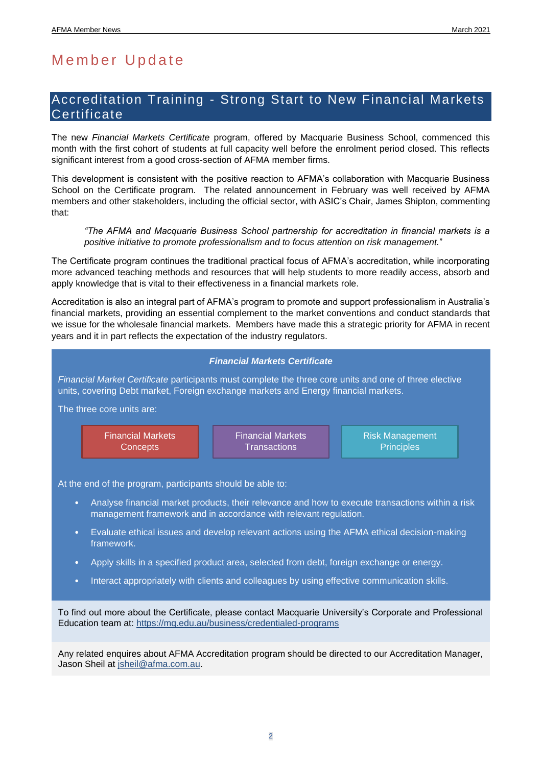## <span id="page-1-0"></span>Member Update

### <span id="page-1-1"></span>Accreditation Training - Strong Start to New Financial Markets **Certificate**

The new *Financial Markets Certificate* program, offered by Macquarie Business School, commenced this month with the first cohort of students at full capacity well before the enrolment period closed. This reflects significant interest from a good cross-section of AFMA member firms.

This development is consistent with the positive reaction to AFMA's collaboration with Macquarie Business School on the Certificate program. The related announcement in February was well received by AFMA members and other stakeholders, including the official sector, with ASIC's Chair, James Shipton, commenting that:

*"The AFMA and Macquarie Business School partnership for accreditation in financial markets is a positive initiative to promote professionalism and to focus attention on risk management.*"

The Certificate program continues the traditional practical focus of AFMA's accreditation, while incorporating more advanced teaching methods and resources that will help students to more readily access, absorb and apply knowledge that is vital to their effectiveness in a financial markets role.

Accreditation is also an integral part of AFMA's program to promote and support professionalism in Australia's financial markets, providing an essential complement to the market conventions and conduct standards that we issue for the wholesale financial markets. Members have made this a strategic priority for AFMA in recent years and it in part reflects the expectation of the industry regulators.



Any related enquires about AFMA Accreditation program should be directed to our Accreditation Manager, Jason Sheil at [jsheil@afma.com.au.](mailto:jsheil@afma.com.au)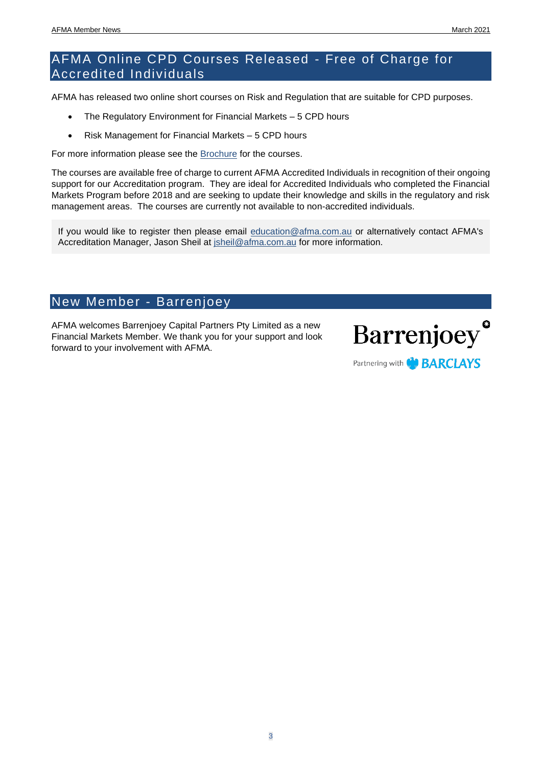### <span id="page-2-0"></span>AFMA Online CPD Courses Released - Free of Charge for Accredited Individuals

AFMA has released two online short courses on Risk and Regulation that are suitable for CPD purposes.

- The Regulatory Environment for Financial Markets 5 CPD hours
- Risk Management for Financial Markets 5 CPD hours

For more information please see the [Brochure](infohttp://afma.com.au/Site/media/Media/Documents/Learning/Regulation-Risk-CPD.pdf) for the courses.

The courses are available free of charge to current AFMA Accredited Individuals in recognition of their ongoing support for our Accreditation program. They are ideal for Accredited Individuals who completed the Financial Markets Program before 2018 and are seeking to update their knowledge and skills in the regulatory and risk management areas. The courses are currently not available to non-accredited individuals.

If you would like to register then please email [education@afma.com.au](mailto:education@afma.com.au) or alternatively contact AFMA's Accreditation Manager, Jason Sheil at [jsheil@afma.com.au](mailto:jsheil@afma.com.au) for more information.

### <span id="page-2-1"></span>New Member - Barrenjoey

AFMA welcomes Barrenjoey Capital Partners Pty Limited as a new Financial Markets Member. We thank you for your support and look forward to your involvement with AFMA.



Partnering with **the BARCLAYS**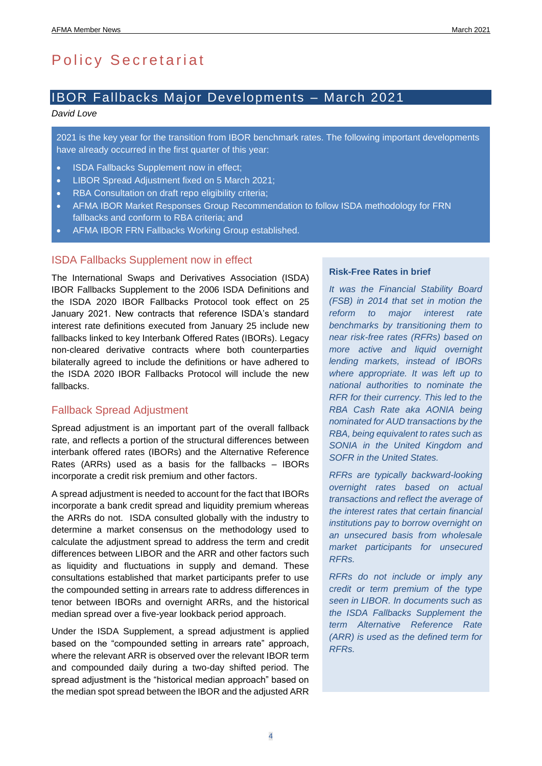## <span id="page-3-0"></span>Policy Secretariat

### <span id="page-3-1"></span>IBOR Fallbacks Major Developments – March 2021

#### *David Love*

2021 is the key year for the transition from IBOR benchmark rates. The following important developments have already occurred in the first quarter of this year:

- ISDA Fallbacks Supplement now in effect;
- LIBOR Spread Adjustment fixed on 5 March 2021;
- RBA Consultation on draft repo eligibility criteria;
- AFMA IBOR Market Responses Group Recommendation to follow ISDA methodology for FRN fallbacks and conform to RBA criteria; and
- AFMA IBOR FRN Fallbacks Working Group established.

#### ISDA Fallbacks Supplement now in effect

The International Swaps and Derivatives Association (ISDA) IBOR Fallbacks Supplement to the 2006 ISDA Definitions and the ISDA 2020 IBOR Fallbacks Protocol took effect on 25 January 2021. New contracts that reference ISDA's standard interest rate definitions executed from January 25 include new fallbacks linked to key Interbank Offered Rates (IBORs). Legacy non-cleared derivative contracts where both counterparties bilaterally agreed to include the definitions or have adhered to the ISDA 2020 IBOR Fallbacks Protocol will include the new fallbacks.

#### Fallback Spread Adjustment

Spread adjustment is an important part of the overall fallback rate, and reflects a portion of the structural differences between interbank offered rates (IBORs) and the Alternative Reference Rates (ARRs) used as a basis for the fallbacks – IBORs incorporate a credit risk premium and other factors.

A spread adjustment is needed to account for the fact that IBORs incorporate a bank credit spread and liquidity premium whereas the ARRs do not. ISDA consulted globally with the industry to determine a market consensus on the methodology used to calculate the adjustment spread to address the term and credit differences between LIBOR and the ARR and other factors such as liquidity and fluctuations in supply and demand. These consultations established that market participants prefer to use the compounded setting in arrears rate to address differences in tenor between IBORs and overnight ARRs, and the historical median spread over a five-year lookback period approach.

Under the ISDA Supplement, a spread adjustment is applied based on the "compounded setting in arrears rate" approach. where the relevant ARR is observed over the relevant IBOR term and compounded daily during a two-day shifted period. The spread adjustment is the "historical median approach" based on the median spot spread between the IBOR and the adjusted ARR

#### **Risk-Free Rates in brief**

*It was the Financial Stability Board (FSB) in 2014 that set in motion the reform to major interest rate benchmarks by transitioning them to near risk-free rates (RFRs) based on more active and liquid overnight lending markets, instead of IBORs where appropriate. It was left up to national authorities to nominate the RFR for their currency. This led to the RBA Cash Rate aka AONIA being nominated for AUD transactions by the RBA, being equivalent to rates such as SONIA in the United Kingdom and SOFR in the United States.*

*RFRs are typically backward-looking overnight rates based on actual transactions and reflect the average of the interest rates that certain financial institutions pay to borrow overnight on an unsecured basis from wholesale market participants for unsecured RFRs.* 

*RFRs do not include or imply any credit or term premium of the type seen in LIBOR. In documents such as the ISDA Fallbacks Supplement the term Alternative Reference Rate (ARR) is used as the defined term for RFRs.*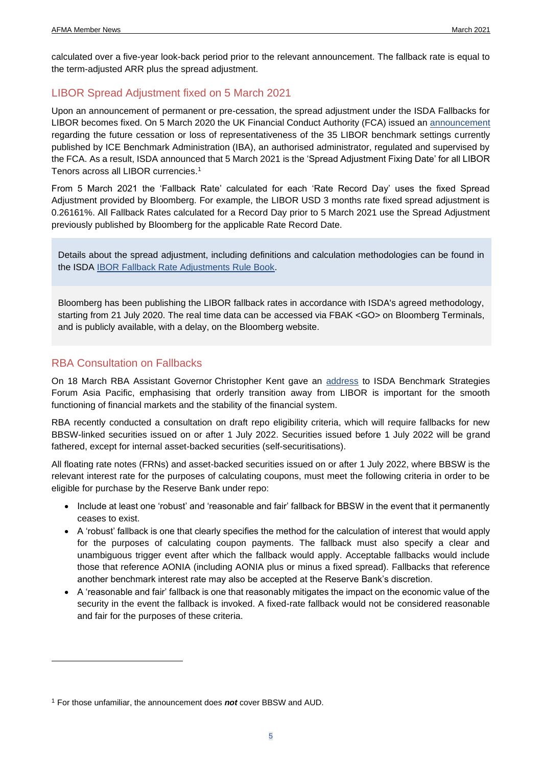calculated over a five-year look-back period prior to the relevant announcement. The fallback rate is equal to the term-adjusted ARR plus the spread adjustment.

#### LIBOR Spread Adjustment fixed on 5 March 2021

Upon an announcement of permanent or pre-cessation, the spread adjustment under the ISDA Fallbacks for LIBOR becomes fixed. On 5 March 2020 the UK Financial Conduct Authority (FCA) issued an [announcement](https://www.fca.org.uk/publication/documents/future-cessation-loss-representativeness-libor-benchmarks.pdf) regarding the future cessation or loss of representativeness of the 35 LIBOR benchmark settings currently published by ICE Benchmark Administration (IBA), an authorised administrator, regulated and supervised by the FCA. As a result, ISDA announced that 5 March 2021 is the 'Spread Adjustment Fixing Date' for all LIBOR Tenors across all LIBOR currencies.<sup>1</sup>

From 5 March 2021 the 'Fallback Rate' calculated for each 'Rate Record Day' uses the fixed Spread Adjustment provided by Bloomberg. For example, the LIBOR USD 3 months rate fixed spread adjustment is 0.26161%. All Fallback Rates calculated for a Record Day prior to 5 March 2021 use the Spread Adjustment previously published by Bloomberg for the applicable Rate Record Date.

Details about the spread adjustment, including definitions and calculation methodologies can be found in the ISDA [IBOR Fallback Rate Adjustments Rule Book.](https://assets.isda.org/media/34b2ba47/c5347611-pdf/)

Bloomberg has been publishing the LIBOR fallback rates in accordance with ISDA's agreed methodology, starting from 21 July 2020. The real time data can be accessed via FBAK <GO> on Bloomberg Terminals, and is publicly available, with a delay, on the Bloomberg website.

#### RBA Consultation on Fallbacks

On 18 March RBA Assistant Governor Christopher Kent gave an [address](https://www.rba.gov.au/speeches/2021/sp-ag-2021-03-18.html) to ISDA Benchmark Strategies Forum Asia Pacific, emphasising that orderly transition away from LIBOR is important for the smooth functioning of financial markets and the stability of the financial system.

RBA recently conducted a consultation on draft repo eligibility criteria, which will require fallbacks for new BBSW-linked securities issued on or after 1 July 2022. Securities issued before 1 July 2022 will be grand fathered, except for internal asset-backed securities (self-securitisations).

All floating rate notes (FRNs) and asset-backed securities issued on or after 1 July 2022, where BBSW is the relevant interest rate for the purposes of calculating coupons, must meet the following criteria in order to be eligible for purchase by the Reserve Bank under repo:

- Include at least one 'robust' and 'reasonable and fair' fallback for BBSW in the event that it permanently ceases to exist.
- A 'robust' fallback is one that clearly specifies the method for the calculation of interest that would apply for the purposes of calculating coupon payments. The fallback must also specify a clear and unambiguous trigger event after which the fallback would apply. Acceptable fallbacks would include those that reference AONIA (including AONIA plus or minus a fixed spread). Fallbacks that reference another benchmark interest rate may also be accepted at the Reserve Bank's discretion.
- A 'reasonable and fair' fallback is one that reasonably mitigates the impact on the economic value of the security in the event the fallback is invoked. A fixed-rate fallback would not be considered reasonable and fair for the purposes of these criteria.

<sup>1</sup> For those unfamiliar, the announcement does *not* cover BBSW and AUD.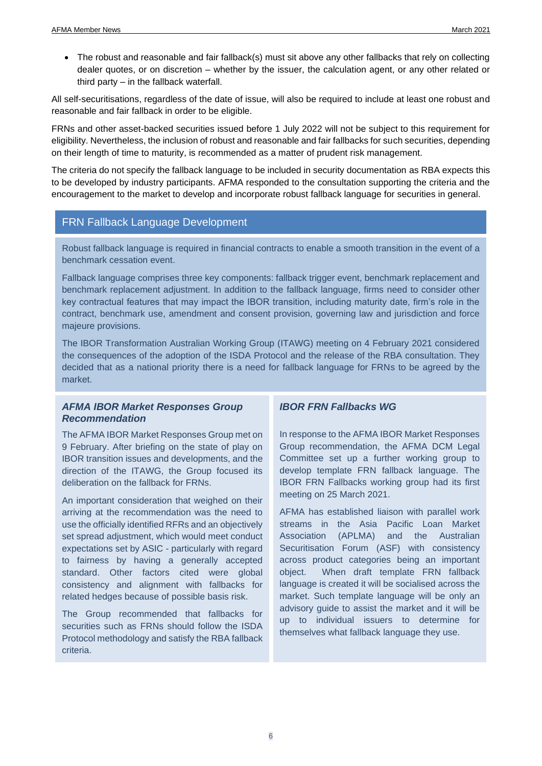• The robust and reasonable and fair fallback(s) must sit above any other fallbacks that rely on collecting dealer quotes, or on discretion – whether by the issuer, the calculation agent, or any other related or third party – in the fallback waterfall.

All self-securitisations, regardless of the date of issue, will also be required to include at least one robust and reasonable and fair fallback in order to be eligible.

FRNs and other asset-backed securities issued before 1 July 2022 will not be subject to this requirement for eligibility. Nevertheless, the inclusion of robust and reasonable and fair fallbacks for such securities, depending on their length of time to maturity, is recommended as a matter of prudent risk management.

The criteria do not specify the fallback language to be included in security documentation as RBA expects this to be developed by industry participants. AFMA responded to the consultation supporting the criteria and the encouragement to the market to develop and incorporate robust fallback language for securities in general.

### FRN Fallback Language Development

Robust fallback language is required in financial contracts to enable a smooth transition in the event of a benchmark cessation event.

Fallback language comprises three key components: fallback trigger event, benchmark replacement and benchmark replacement adjustment. In addition to the fallback language, firms need to consider other key contractual features that may impact the IBOR transition, including maturity date, firm's role in the contract, benchmark use, amendment and consent provision, governing law and jurisdiction and force majeure provisions.

The IBOR Transformation Australian Working Group (ITAWG) meeting on 4 February 2021 considered the consequences of the adoption of the ISDA Protocol and the release of the RBA consultation. They decided that as a national priority there is a need for fallback language for FRNs to be agreed by the market.

#### *AFMA IBOR Market Responses Group Recommendation*

The AFMA IBOR Market Responses Group met on 9 February. After briefing on the state of play on IBOR transition issues and developments, and the direction of the ITAWG, the Group focused its deliberation on the fallback for FRNs.

An important consideration that weighed on their arriving at the recommendation was the need to use the officially identified RFRs and an objectively set spread adjustment, which would meet conduct expectations set by ASIC - particularly with regard to fairness by having a generally accepted standard. Other factors cited were global consistency and alignment with fallbacks for related hedges because of possible basis risk.

The Group recommended that fallbacks for securities such as FRNs should follow the ISDA Protocol methodology and satisfy the RBA fallback criteria.

#### *IBOR FRN Fallbacks WG*

In response to the AFMA IBOR Market Responses Group recommendation, the AFMA DCM Legal Committee set up a further working group to develop template FRN fallback language. The IBOR FRN Fallbacks working group had its first meeting on 25 March 2021.

AFMA has established liaison with parallel work streams in the Asia Pacific Loan Market Association (APLMA) and the Australian Securitisation Forum (ASF) with consistency across product categories being an important object. When draft template FRN fallback language is created it will be socialised across the market. Such template language will be only an advisory guide to assist the market and it will be up to individual issuers to determine for themselves what fallback language they use.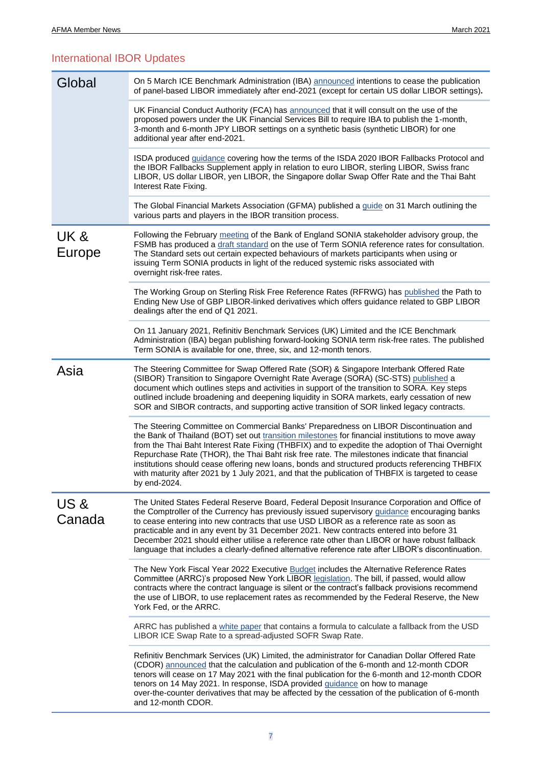### International IBOR Updates

| Global         | On 5 March ICE Benchmark Administration (IBA) announced intentions to cease the publication<br>of panel-based LIBOR immediately after end-2021 (except for certain US dollar LIBOR settings).                                                                                                                                                                                                                                                                                                                                                                                                                      |  |  |
|----------------|--------------------------------------------------------------------------------------------------------------------------------------------------------------------------------------------------------------------------------------------------------------------------------------------------------------------------------------------------------------------------------------------------------------------------------------------------------------------------------------------------------------------------------------------------------------------------------------------------------------------|--|--|
|                | UK Financial Conduct Authority (FCA) has announced that it will consult on the use of the<br>proposed powers under the UK Financial Services Bill to require IBA to publish the 1-month,<br>3-month and 6-month JPY LIBOR settings on a synthetic basis (synthetic LIBOR) for one<br>additional year after end-2021.                                                                                                                                                                                                                                                                                               |  |  |
|                | ISDA produced <i>guidance</i> covering how the terms of the ISDA 2020 IBOR Fallbacks Protocol and<br>the IBOR Fallbacks Supplement apply in relation to euro LIBOR, sterling LIBOR, Swiss franc<br>LIBOR, US dollar LIBOR, yen LIBOR, the Singapore dollar Swap Offer Rate and the Thai Baht<br>Interest Rate Fixing.                                                                                                                                                                                                                                                                                              |  |  |
|                | The Global Financial Markets Association (GFMA) published a guide on 31 March outlining the<br>various parts and players in the IBOR transition process.                                                                                                                                                                                                                                                                                                                                                                                                                                                           |  |  |
| UK &<br>Europe | Following the February meeting of the Bank of England SONIA stakeholder advisory group, the<br>FSMB has produced a draft standard on the use of Term SONIA reference rates for consultation.<br>The Standard sets out certain expected behaviours of markets participants when using or<br>issuing Term SONIA products in light of the reduced systemic risks associated with<br>overnight risk-free rates.                                                                                                                                                                                                        |  |  |
|                | The Working Group on Sterling Risk Free Reference Rates (RFRWG) has published the Path to<br>Ending New Use of GBP LIBOR-linked derivatives which offers guidance related to GBP LIBOR<br>dealings after the end of Q1 2021.                                                                                                                                                                                                                                                                                                                                                                                       |  |  |
|                | On 11 January 2021, Refinitiv Benchmark Services (UK) Limited and the ICE Benchmark<br>Administration (IBA) began publishing forward-looking SONIA term risk-free rates. The published<br>Term SONIA is available for one, three, six, and 12-month tenors.                                                                                                                                                                                                                                                                                                                                                        |  |  |
| Asia           | The Steering Committee for Swap Offered Rate (SOR) & Singapore Interbank Offered Rate<br>(SIBOR) Transition to Singapore Overnight Rate Average (SORA) (SC-STS) published a<br>document which outlines steps and activities in support of the transition to SORA. Key steps<br>outlined include broadening and deepening liquidity in SORA markets, early cessation of new<br>SOR and SIBOR contracts, and supporting active transition of SOR linked legacy contracts.                                                                                                                                            |  |  |
|                | The Steering Committee on Commercial Banks' Preparedness on LIBOR Discontinuation and<br>the Bank of Thailand (BOT) set out transition milestones for financial institutions to move away<br>from the Thai Baht Interest Rate Fixing (THBFIX) and to expedite the adoption of Thai Overnight<br>Repurchase Rate (THOR), the Thai Baht risk free rate. The milestones indicate that financial<br>institutions should cease offering new loans, bonds and structured products referencing THBFIX<br>with maturity after 2021 by 1 July 2021, and that the publication of THBFIX is targeted to cease<br>by end-2024. |  |  |
| US&<br>Canada  | The United States Federal Reserve Board, Federal Deposit Insurance Corporation and Office of<br>the Comptroller of the Currency has previously issued supervisory guidance encouraging banks<br>to cease entering into new contracts that use USD LIBOR as a reference rate as soon as<br>practicable and in any event by 31 December 2021. New contracts entered into before 31<br>December 2021 should either utilise a reference rate other than LIBOR or have robust fallback<br>language that includes a clearly-defined alternative reference rate after LIBOR's discontinuation.                            |  |  |
|                | The New York Fiscal Year 2022 Executive Budget includes the Alternative Reference Rates<br>Committee (ARRC)'s proposed New York LIBOR legislation. The bill, if passed, would allow<br>contracts where the contract language is silent or the contract's fallback provisions recommend<br>the use of LIBOR, to use replacement rates as recommended by the Federal Reserve, the New<br>York Fed, or the ARRC.                                                                                                                                                                                                      |  |  |
|                | ARRC has published a white paper that contains a formula to calculate a fallback from the USD<br>LIBOR ICE Swap Rate to a spread-adjusted SOFR Swap Rate.                                                                                                                                                                                                                                                                                                                                                                                                                                                          |  |  |
|                | Refinitiv Benchmark Services (UK) Limited, the administrator for Canadian Dollar Offered Rate<br>(CDOR) announced that the calculation and publication of the 6-month and 12-month CDOR<br>tenors will cease on 17 May 2021 with the final publication for the 6-month and 12-month CDOR<br>tenors on 14 May 2021. In response, ISDA provided guidance on how to manage<br>over-the-counter derivatives that may be affected by the cessation of the publication of 6-month<br>and 12-month CDOR.                                                                                                                  |  |  |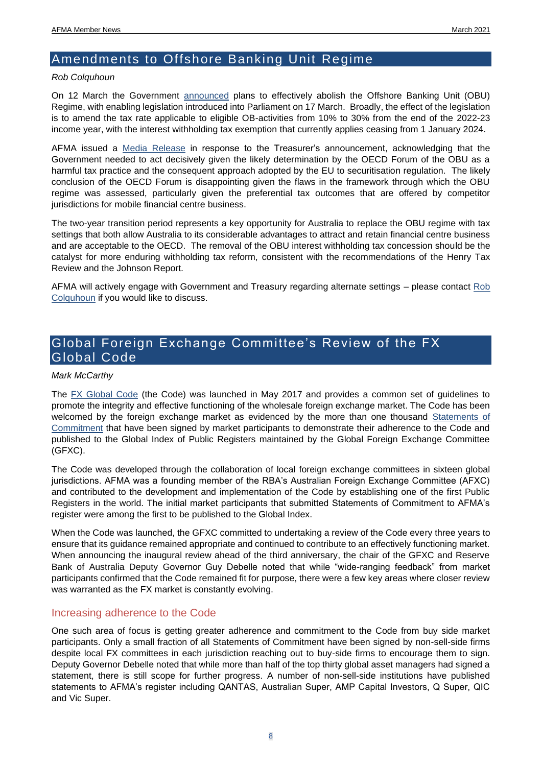### <span id="page-7-0"></span>Amendments to Offshore Banking Unit Regime

#### *Rob Colquhoun*

On 12 March the Government [announced](https://ministers.treasury.gov.au/ministers/josh-frydenberg-2018/media-releases/amending-australias-offshore-banking-unit-regime-0) plans to effectively abolish the Offshore Banking Unit (OBU) Regime, with enabling legislation introduced into Parliament on 17 March. Broadly, the effect of the legislation is to amend the tax rate applicable to eligible OB-activities from 10% to 30% from the end of the 2022-23 income year, with the interest withholding tax exemption that currently applies ceasing from 1 January 2024.

AFMA issued a [Media Release](https://afma.com.au/Site/media/Media/Documents/2021/Media%20and%20Notices/AFMA-OBU-Media-Release.pdf?ext=.pdf) in response to the Treasurer's announcement, acknowledging that the Government needed to act decisively given the likely determination by the OECD Forum of the OBU as a harmful tax practice and the consequent approach adopted by the EU to securitisation regulation. The likely conclusion of the OECD Forum is disappointing given the flaws in the framework through which the OBU regime was assessed, particularly given the preferential tax outcomes that are offered by competitor jurisdictions for mobile financial centre business.

The two-year transition period represents a key opportunity for Australia to replace the OBU regime with tax settings that both allow Australia to its considerable advantages to attract and retain financial centre business and are acceptable to the OECD. The removal of the OBU interest withholding tax concession should be the catalyst for more enduring withholding tax reform, consistent with the recommendations of the Henry Tax Review and the Johnson Report.

AFMA will actively engage with Government and Treasury regarding alternate settings – please contact [Rob](mailto:rcolquhoun@afma.com.au)  [Colquhoun](mailto:rcolquhoun@afma.com.au) if you would like to discuss.

### <span id="page-7-1"></span>Global Foreign Exchange Committee's Review of the FX Global Code

#### *Mark McCarthy*

The [FX Global Code](https://www.globalfxc.org/fx_global_code.htm) (the Code) was launched in May 2017 and provides a common set of guidelines to promote the integrity and effective functioning of the wholesale foreign exchange market. The Code has been welcomed by the foreign exchange market as evidenced by the more than one thousand [Statements](https://www.globalfxc.org/global_index.htm) of [Commitment](https://www.globalfxc.org/global_index.htm) that have been signed by market participants to demonstrate their adherence to the Code and published to the Global Index of Public Registers maintained by the Global Foreign Exchange Committee (GFXC).

The Code was developed through the collaboration of local foreign exchange committees in sixteen global jurisdictions. AFMA was a founding member of the RBA's Australian Foreign Exchange Committee (AFXC) and contributed to the development and implementation of the Code by establishing one of the first Public Registers in the world. The initial market participants that submitted Statements of Commitment to AFMA's register were among the first to be published to the Global Index.

When the Code was launched, the GFXC committed to undertaking a review of the Code every three years to ensure that its guidance remained appropriate and continued to contribute to an effectively functioning market. When announcing the inaugural review ahead of the third anniversary, the chair of the GFXC and Reserve Bank of Australia Deputy Governor Guy Debelle noted that while "wide-ranging feedback" from market participants confirmed that the Code remained fit for purpose, there were a few key areas where closer review was warranted as the FX market is constantly evolving.

#### Increasing adherence to the Code

One such area of focus is getting greater adherence and commitment to the Code from buy side market participants. Only a small fraction of all Statements of Commitment have been signed by non-sell-side firms despite local FX committees in each jurisdiction reaching out to buy-side firms to encourage them to sign. Deputy Governor Debelle noted that while more than half of the top thirty global asset managers had signed a statement, there is still scope for further progress. A number of non-sell-side institutions have published statements to AFMA's register including QANTAS, Australian Super, AMP Capital Investors, Q Super, QIC and Vic Super.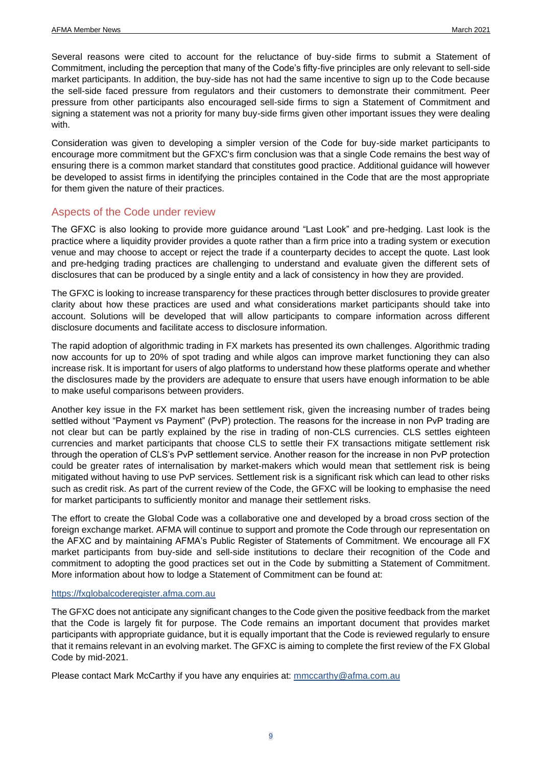Several reasons were cited to account for the reluctance of buy-side firms to submit a Statement of Commitment, including the perception that many of the Code's fifty-five principles are only relevant to sell-side market participants. In addition, the buy-side has not had the same incentive to sign up to the Code because the sell-side faced pressure from regulators and their customers to demonstrate their commitment. Peer pressure from other participants also encouraged sell-side firms to sign a Statement of Commitment and signing a statement was not a priority for many buy-side firms given other important issues they were dealing with.

Consideration was given to developing a simpler version of the Code for buy-side market participants to encourage more commitment but the GFXC's firm conclusion was that a single Code remains the best way of ensuring there is a common market standard that constitutes good practice. Additional guidance will however be developed to assist firms in identifying the principles contained in the Code that are the most appropriate for them given the nature of their practices.

#### Aspects of the Code under review

The GFXC is also looking to provide more guidance around "Last Look" and pre-hedging. Last look is the practice where a liquidity provider provides a quote rather than a firm price into a trading system or execution venue and may choose to accept or reject the trade if a counterparty decides to accept the quote. Last look and pre-hedging trading practices are challenging to understand and evaluate given the different sets of disclosures that can be produced by a single entity and a lack of consistency in how they are provided.

The GFXC is looking to increase transparency for these practices through better disclosures to provide greater clarity about how these practices are used and what considerations market participants should take into account. Solutions will be developed that will allow participants to compare information across different disclosure documents and facilitate access to disclosure information.

The rapid adoption of algorithmic trading in FX markets has presented its own challenges. Algorithmic trading now accounts for up to 20% of spot trading and while algos can improve market functioning they can also increase risk. It is important for users of algo platforms to understand how these platforms operate and whether the disclosures made by the providers are adequate to ensure that users have enough information to be able to make useful comparisons between providers.

Another key issue in the FX market has been settlement risk, given the increasing number of trades being settled without "Payment vs Payment" (PvP) protection. The reasons for the increase in non PvP trading are not clear but can be partly explained by the rise in trading of non-CLS currencies. CLS settles eighteen currencies and market participants that choose CLS to settle their FX transactions mitigate settlement risk through the operation of CLS's PvP settlement service. Another reason for the increase in non PvP protection could be greater rates of internalisation by market-makers which would mean that settlement risk is being mitigated without having to use PvP services. Settlement risk is a significant risk which can lead to other risks such as credit risk. As part of the current review of the Code, the GFXC will be looking to emphasise the need for market participants to sufficiently monitor and manage their settlement risks.

The effort to create the Global Code was a collaborative one and developed by a broad cross section of the foreign exchange market. AFMA will continue to support and promote the Code through our representation on the AFXC and by maintaining AFMA's Public Register of Statements of Commitment. We encourage all FX market participants from buy-side and sell-side institutions to declare their recognition of the Code and commitment to adopting the good practices set out in the Code by submitting a Statement of Commitment. More information about how to lodge a Statement of Commitment can be found at:

#### [https://fxglobalcoderegister.afma.com.au](https://fxglobalcoderegister.afma.com.au/)

The GFXC does not anticipate any significant changes to the Code given the positive feedback from the market that the Code is largely fit for purpose. The Code remains an important document that provides market participants with appropriate guidance, but it is equally important that the Code is reviewed regularly to ensure that it remains relevant in an evolving market. The GFXC is aiming to complete the first review of the FX Global Code by mid-2021.

Please contact Mark McCarthy if you have any enquiries at: [mmccarthy@afma.com.au](mailto:mmccarthy@afma.com.au)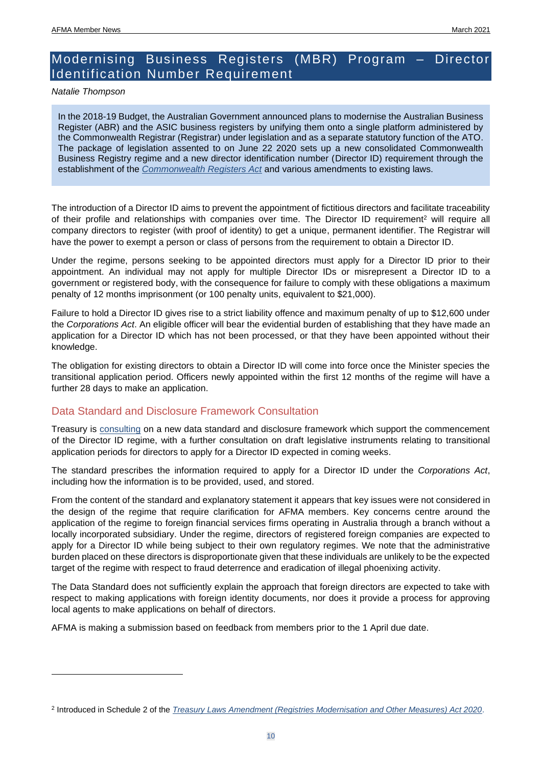### <span id="page-9-0"></span>Modernising Business Registers (MBR) Program – Director Identification Number Requirement

*Natalie Thompson*

In the 2018-19 Budget, the Australian Government announced plans to modernise the Australian Business Register (ABR) and the ASIC business registers by unifying them onto a single platform administered by the Commonwealth Registrar (Registrar) under legislation and as a separate statutory function of the ATO. The package of legislation assented to on June 22 2020 sets up a new consolidated Commonwealth Business Registry regime and a new director identification number (Director ID) requirement through the establishment of the *[Commonwealth Registers Act](https://www.legislation.gov.au/Details/C2020A00065)* and various amendments to existing laws.

The introduction of a Director ID aims to prevent the appointment of fictitious directors and facilitate traceability of their profile and relationships with companies over time. The Director ID requirement<sup>2</sup> will require all company directors to register (with proof of identity) to get a unique, permanent identifier. The Registrar will have the power to exempt a person or class of persons from the requirement to obtain a Director ID.

Under the regime, persons seeking to be appointed directors must apply for a Director ID prior to their appointment. An individual may not apply for multiple Director IDs or misrepresent a Director ID to a government or registered body, with the consequence for failure to comply with these obligations a maximum penalty of 12 months imprisonment (or 100 penalty units, equivalent to \$21,000).

Failure to hold a Director ID gives rise to a strict liability offence and maximum penalty of up to \$12,600 under the *Corporations Act*. An eligible officer will bear the evidential burden of establishing that they have made an application for a Director ID which has not been processed, or that they have been appointed without their knowledge.

The obligation for existing directors to obtain a Director ID will come into force once the Minister species the transitional application period. Officers newly appointed within the first 12 months of the regime will have a further 28 days to make an application.

#### Data Standard and Disclosure Framework Consultation

Treasury is [consulting](https://treasury.gov.au/c2021-157170) on a new data standard and disclosure framework which support the commencement of the Director ID regime, with a further consultation on draft legislative instruments relating to transitional application periods for directors to apply for a Director ID expected in coming weeks.

The standard prescribes the information required to apply for a Director ID under the *Corporations Act*, including how the information is to be provided, used, and stored.

From the content of the standard and explanatory statement it appears that key issues were not considered in the design of the regime that require clarification for AFMA members. Key concerns centre around the application of the regime to foreign financial services firms operating in Australia through a branch without a locally incorporated subsidiary. Under the regime, directors of registered foreign companies are expected to apply for a Director ID while being subject to their own regulatory regimes. We note that the administrative burden placed on these directors is disproportionate given that these individuals are unlikely to be the expected target of the regime with respect to fraud deterrence and eradication of illegal phoenixing activity.

The Data Standard does not sufficiently explain the approach that foreign directors are expected to take with respect to making applications with foreign identity documents, nor does it provide a process for approving local agents to make applications on behalf of directors.

AFMA is making a submission based on feedback from members prior to the 1 April due date.

<sup>2</sup> Introduced in Schedule 2 of the *[Treasury Laws Amendment \(Registries Modernisation and Other Measures\) Act 2020](https://www.legislation.gov.au/Details/C2020A00069)*.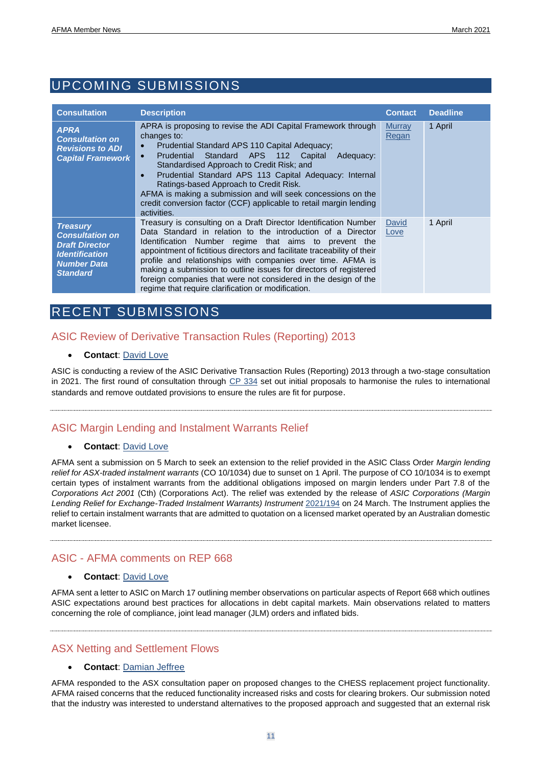## <span id="page-10-0"></span>UPCOMING SUBMISSIONS

| <b>Consultation</b>                                                                                                                  | <b>Description</b>                                                                                                                                                                                                                                                                                                                                                                                                                                                                                                                | <b>Contact</b>                | <b>Deadline</b> |
|--------------------------------------------------------------------------------------------------------------------------------------|-----------------------------------------------------------------------------------------------------------------------------------------------------------------------------------------------------------------------------------------------------------------------------------------------------------------------------------------------------------------------------------------------------------------------------------------------------------------------------------------------------------------------------------|-------------------------------|-----------------|
| <b>APRA</b><br><b>Consultation on</b><br><b>Revisions to ADI</b><br><b>Capital Framework</b>                                         | APRA is proposing to revise the ADI Capital Framework through<br>changes to:<br>Prudential Standard APS 110 Capital Adequacy;<br>$\bullet$<br>Standard APS 112<br>Prudential<br>Capital<br>Adequacy:<br>$\bullet$<br>Standardised Approach to Credit Risk; and<br>Prudential Standard APS 113 Capital Adequacy: Internal<br>Ratings-based Approach to Credit Risk.<br>AFMA is making a submission and will seek concessions on the<br>credit conversion factor (CCF) applicable to retail margin lending<br>activities.           | <b>Murray</b><br><b>Regan</b> | 1 April         |
| <b>Treasury</b><br><b>Consultation on</b><br><b>Draft Director</b><br><b>Identification</b><br><b>Number Data</b><br><b>Standard</b> | Treasury is consulting on a Draft Director Identification Number<br>Data Standard in relation to the introduction of a Director<br>Identification Number regime that aims to prevent the<br>appointment of fictitious directors and facilitate traceability of their<br>profile and relationships with companies over time. AFMA is<br>making a submission to outline issues for directors of registered<br>foreign companies that were not considered in the design of the<br>regime that require clarification or modification. | David<br>Love                 | 1 April         |

### <span id="page-10-1"></span>RECENT SUBMISSIONS

#### ASIC Review of Derivative Transaction Rules (Reporting) 2013

#### • **Contact**: [David Love](mailto:dlove@afma.com.au)

ASIC is conducting a review of the ASIC Derivative Transaction Rules (Reporting) 2013 through a two-stage consultation in 2021. The first round of consultation through  $CP$  334 set out initial proposals to harmonise the rules to international standards and remove outdated provisions to ensure the rules are fit for purpose.

#### ASIC Margin Lending and Instalment Warrants Relief

#### • **Contact**: [David Love](mailto:dlove@afma.com.au)

AFMA sent a submission on 5 March to seek an extension to the relief provided in the ASIC Class Order *Margin lending relief for ASX-traded instalment warrants* (CO 10/1034) due to sunset on 1 April. The purpose of CO 10/1034 is to exempt certain types of instalment warrants from the additional obligations imposed on margin lenders under Part 7.8 of the *Corporations Act 2001* (Cth) (Corporations Act). The relief was extended by the release of *ASIC Corporations (Margin Lending Relief for Exchange-Traded Instalment Warrants) Instrument* [2021/194](https://www.legislation.gov.au/current/F2021L00349) on 24 March. The Instrument applies the relief to certain instalment warrants that are admitted to quotation on a licensed market operated by an Australian domestic market licensee.

#### ASIC - AFMA comments on REP 668

#### • **Contact**: [David Love](mailto:dlove@afma.com.au)

AFMA sent a letter to ASIC on March 17 outlining member observations on particular aspects of Report 668 which outlines ASIC expectations around best practices for allocations in debt capital markets. Main observations related to matters concerning the role of compliance, joint lead manager (JLM) orders and inflated bids.

ASX Netting and Settlement Flows

#### • **Contact**: [Dam](mailto:dlove@afma.com.au)ian Jeffree

AFMA responded to the ASX consultation paper on proposed changes to the CHESS replacement project functionality. AFMA raised concerns that the reduced functionality increased risks and costs for clearing brokers. Our submission noted that the industry was interested to understand alternatives to the proposed approach and suggested that an external risk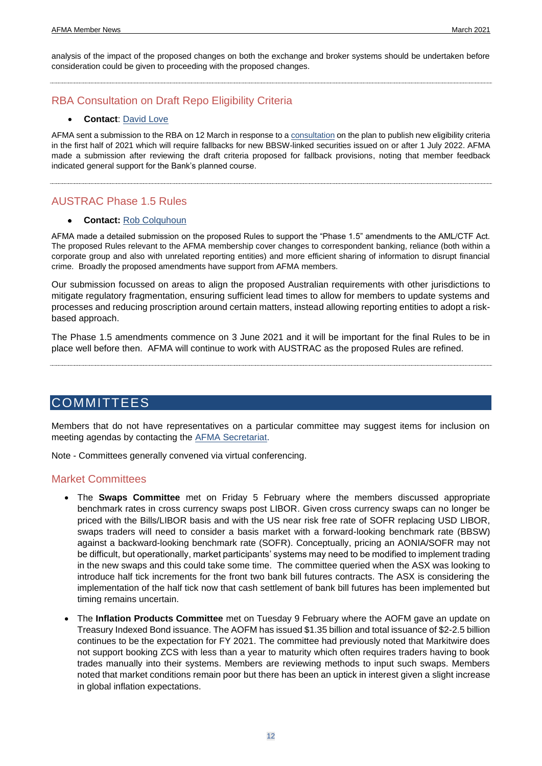analysis of the impact of the proposed changes on both the exchange and broker systems should be undertaken before consideration could be given to proceeding with the proposed changes.

### RBA Consultation on Draft Repo Eligibility Criteria

#### • **Contact**: [David Love](mailto:dlove@afma.com.au)

AFMA sent a submission to the RBA on 12 March in response to a [consultation](https://www.rba.gov.au/mkt-operations/resources/tech-notes/eligible-securities.html) on the plan to publish new eligibility criteria in the first half of 2021 which will require fallbacks for new BBSW-linked securities issued on or after 1 July 2022. AFMA made a submission after reviewing the draft criteria proposed for fallback provisions, noting that member feedback indicated general support for the Bank's planned course.

AUSTRAC Phase 1.5 Rules

#### **Contact:** [Rob Colquhoun](mailto:rcolquhoun@afma.com.au)

AFMA made a detailed submission on the proposed Rules to support the "Phase 1.5" amendments to the AML/CTF Act. The proposed Rules relevant to the AFMA membership cover changes to correspondent banking, reliance (both within a corporate group and also with unrelated reporting entities) and more efficient sharing of information to disrupt financial crime. Broadly the proposed amendments have support from AFMA members.

Our submission focussed on areas to align the proposed Australian requirements with other jurisdictions to mitigate regulatory fragmentation, ensuring sufficient lead times to allow for members to update systems and processes and reducing proscription around certain matters, instead allowing reporting entities to adopt a riskbased approach.

The Phase 1.5 amendments commence on 3 June 2021 and it will be important for the final Rules to be in place well before then. AFMA will continue to work with AUSTRAC as the proposed Rules are refined.

#### <span id="page-11-0"></span>COMMITTEES

Members that do not have representatives on a particular committee may suggest items for inclusion on meeting agendas by contacting the [AFMA Secretariat.](mailto:secretariat@afma.com.au)

Note - Committees generally convened via virtual conferencing.

#### Market Committees

- The **Swaps Committee** met on Friday 5 February where the members discussed appropriate benchmark rates in cross currency swaps post LIBOR. Given cross currency swaps can no longer be priced with the Bills/LIBOR basis and with the US near risk free rate of SOFR replacing USD LIBOR, swaps traders will need to consider a basis market with a forward-looking benchmark rate (BBSW) against a backward-looking benchmark rate (SOFR). Conceptually, pricing an AONIA/SOFR may not be difficult, but operationally, market participants' systems may need to be modified to implement trading in the new swaps and this could take some time. The committee queried when the ASX was looking to introduce half tick increments for the front two bank bill futures contracts. The ASX is considering the implementation of the half tick now that cash settlement of bank bill futures has been implemented but timing remains uncertain.
- The **Inflation Products Committee** met on Tuesday 9 February where the AOFM gave an update on Treasury Indexed Bond issuance. The AOFM has issued \$1.35 billion and total issuance of \$2-2.5 billion continues to be the expectation for FY 2021. The committee had previously noted that Markitwire does not support booking ZCS with less than a year to maturity which often requires traders having to book trades manually into their systems. Members are reviewing methods to input such swaps. Members noted that market conditions remain poor but there has been an uptick in interest given a slight increase in global inflation expectations.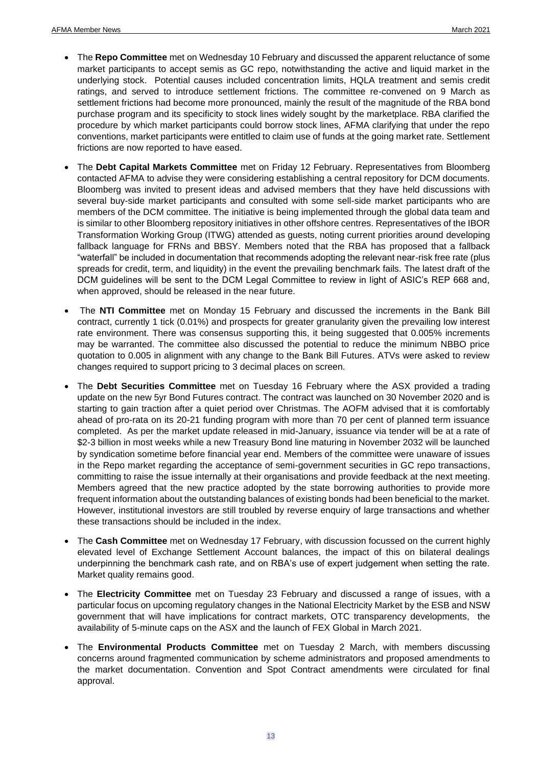- The **Repo Committee** met on Wednesday 10 February and discussed the apparent reluctance of some market participants to accept semis as GC repo, notwithstanding the active and liquid market in the underlying stock. Potential causes included concentration limits, HQLA treatment and semis credit ratings, and served to introduce settlement frictions. The committee re-convened on 9 March as settlement frictions had become more pronounced, mainly the result of the magnitude of the RBA bond purchase program and its specificity to stock lines widely sought by the marketplace. RBA clarified the procedure by which market participants could borrow stock lines, AFMA clarifying that under the repo conventions, market participants were entitled to claim use of funds at the going market rate. Settlement frictions are now reported to have eased.
- The **Debt Capital Markets Committee** met on Friday 12 February. Representatives from Bloomberg contacted AFMA to advise they were considering establishing a central repository for DCM documents. Bloomberg was invited to present ideas and advised members that they have held discussions with several buy-side market participants and consulted with some sell-side market participants who are members of the DCM committee. The initiative is being implemented through the global data team and is similar to other Bloomberg repository initiatives in other offshore centres. Representatives of the IBOR Transformation Working Group (ITWG) attended as guests, noting current priorities around developing fallback language for FRNs and BBSY. Members noted that the RBA has proposed that a fallback "waterfall" be included in documentation that recommends adopting the relevant near-risk free rate (plus spreads for credit, term, and liquidity) in the event the prevailing benchmark fails. The latest draft of the DCM guidelines will be sent to the DCM Legal Committee to review in light of ASIC's REP 668 and, when approved, should be released in the near future.
- The **NTI Committee** met on Monday 15 February and discussed the increments in the Bank Bill contract, currently 1 tick (0.01%) and prospects for greater granularity given the prevailing low interest rate environment. There was consensus supporting this, it being suggested that 0.005% increments may be warranted. The committee also discussed the potential to reduce the minimum NBBO price quotation to 0.005 in alignment with any change to the Bank Bill Futures. ATVs were asked to review changes required to support pricing to 3 decimal places on screen.
- The **Debt Securities Committee** met on Tuesday 16 February where the ASX provided a trading update on the new 5yr Bond Futures contract. The contract was launched on 30 November 2020 and is starting to gain traction after a quiet period over Christmas. The AOFM advised that it is comfortably ahead of pro-rata on its 20-21 funding program with more than 70 per cent of planned term issuance completed. As per the market update released in mid-January, issuance via tender will be at a rate of \$2-3 billion in most weeks while a new Treasury Bond line maturing in November 2032 will be launched by syndication sometime before financial year end. Members of the committee were unaware of issues in the Repo market regarding the acceptance of semi-government securities in GC repo transactions, committing to raise the issue internally at their organisations and provide feedback at the next meeting. Members agreed that the new practice adopted by the state borrowing authorities to provide more frequent information about the outstanding balances of existing bonds had been beneficial to the market. However, institutional investors are still troubled by reverse enquiry of large transactions and whether these transactions should be included in the index.
- The **Cash Committee** met on Wednesday 17 February, with discussion focussed on the current highly elevated level of Exchange Settlement Account balances, the impact of this on bilateral dealings underpinning the benchmark cash rate, and on RBA's use of expert judgement when setting the rate. Market quality remains good.
- The **Electricity Committee** met on Tuesday 23 February and discussed a range of issues, with a particular focus on upcoming regulatory changes in the National Electricity Market by the ESB and NSW government that will have implications for contract markets, OTC transparency developments, the availability of 5-minute caps on the ASX and the launch of FEX Global in March 2021.
- The **Environmental Products Committee** met on Tuesday 2 March, with members discussing concerns around fragmented communication by scheme administrators and proposed amendments to the market documentation. Convention and Spot Contract amendments were circulated for final approval.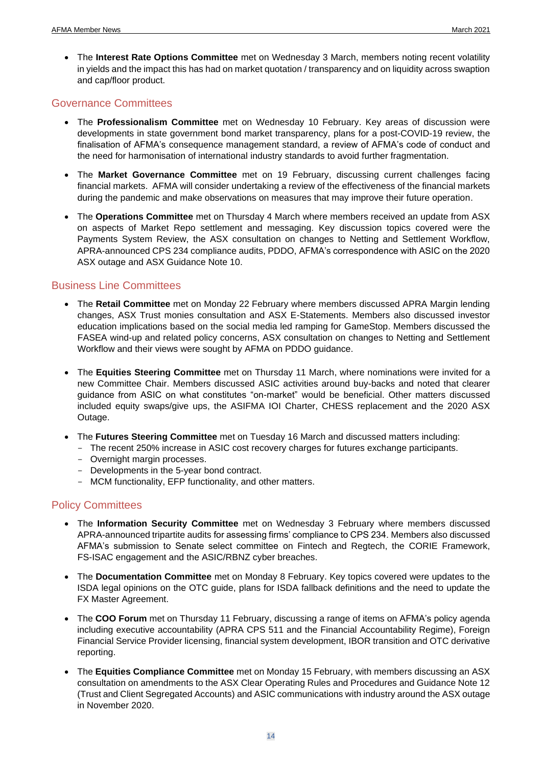• The **Interest Rate Options Committee** met on Wednesday 3 March, members noting recent volatility in yields and the impact this has had on market quotation / transparency and on liquidity across swaption and cap/floor product.

#### Governance Committees

- The **Professionalism Committee** met on Wednesday 10 February. Key areas of discussion were developments in state government bond market transparency, plans for a post-COVID-19 review, the finalisation of AFMA's consequence management standard, a review of AFMA's code of conduct and the need for harmonisation of international industry standards to avoid further fragmentation.
- The **Market Governance Committee** met on 19 February, discussing current challenges facing financial markets. AFMA will consider undertaking a review of the effectiveness of the financial markets during the pandemic and make observations on measures that may improve their future operation.
- The **Operations Committee** met on Thursday 4 March where members received an update from ASX on aspects of Market Repo settlement and messaging. Key discussion topics covered were the Payments System Review, the ASX consultation on changes to Netting and Settlement Workflow, APRA-announced CPS 234 compliance audits, PDDO, AFMA's correspondence with ASIC on the 2020 ASX outage and ASX Guidance Note 10.

#### Business Line Committees

- The **Retail Committee** met on Monday 22 February where members discussed APRA Margin lending changes, ASX Trust monies consultation and ASX E-Statements. Members also discussed investor education implications based on the social media led ramping for GameStop. Members discussed the FASEA wind-up and related policy concerns, ASX consultation on changes to Netting and Settlement Workflow and their views were sought by AFMA on PDDO guidance.
- The **Equities Steering Committee** met on Thursday 11 March, where nominations were invited for a new Committee Chair. Members discussed ASIC activities around buy-backs and noted that clearer guidance from ASIC on what constitutes "on-market" would be beneficial. Other matters discussed included equity swaps/give ups, the ASIFMA IOI Charter, CHESS replacement and the 2020 ASX Outage.
- The **Futures Steering Committee** met on Tuesday 16 March and discussed matters including:
	- The recent 250% increase in ASIC cost recovery charges for futures exchange participants.
	- Overnight margin processes.
	- Developments in the 5-year bond contract.
	- MCM functionality, EFP functionality, and other matters.

#### Policy Committees

- The **Information Security Committee** met on Wednesday 3 February where members discussed APRA-announced tripartite audits for assessing firms' compliance to CPS 234. Members also discussed AFMA's submission to Senate select committee on Fintech and Regtech, the CORIE Framework, FS-ISAC engagement and the ASIC/RBNZ cyber breaches.
- The **Documentation Committee** met on Monday 8 February. Key topics covered were updates to the ISDA legal opinions on the OTC guide, plans for ISDA fallback definitions and the need to update the FX Master Agreement.
- The **COO Forum** met on Thursday 11 February, discussing a range of items on AFMA's policy agenda including executive accountability (APRA CPS 511 and the Financial Accountability Regime), Foreign Financial Service Provider licensing, financial system development, IBOR transition and OTC derivative reporting.
- The **Equities Compliance Committee** met on Monday 15 February, with members discussing an ASX consultation on amendments to the ASX Clear Operating Rules and Procedures and Guidance Note 12 (Trust and Client Segregated Accounts) and ASIC communications with industry around the ASX outage in November 2020.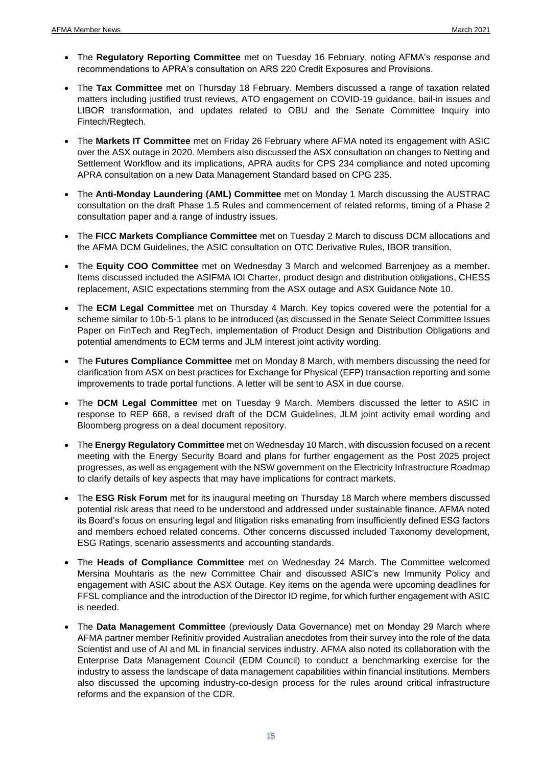- The **Regulatory Reporting Committee** met on Tuesday 16 February, noting AFMA's response and recommendations to APRA's consultation on ARS 220 Credit Exposures and Provisions.
- The **Tax Committee** met on Thursday 18 February. Members discussed a range of taxation related matters including justified trust reviews, ATO engagement on COVID-19 guidance, bail-in issues and LIBOR transformation, and updates related to OBU and the Senate Committee Inquiry into Fintech/Regtech.
- The **Markets IT Committee** met on Friday 26 February where AFMA noted its engagement with ASIC over the ASX outage in 2020. Members also discussed the ASX consultation on changes to Netting and Settlement Workflow and its implications, APRA audits for CPS 234 compliance and noted upcoming APRA consultation on a new Data Management Standard based on CPG 235.
- The **Anti-Monday Laundering (AML) Committee** met on Monday 1 March discussing the AUSTRAC consultation on the draft Phase 1.5 Rules and commencement of related reforms, timing of a Phase 2 consultation paper and a range of industry issues.
- The **FICC Markets Compliance Committee** met on Tuesday 2 March to discuss DCM allocations and the AFMA DCM Guidelines, the ASIC consultation on OTC Derivative Rules, IBOR transition.
- The **Equity COO Committee** met on Wednesday 3 March and welcomed Barrenjoey as a member. Items discussed included the ASIFMA IOI Charter, product design and distribution obligations, CHESS replacement, ASIC expectations stemming from the ASX outage and ASX Guidance Note 10.
- The **ECM Legal Committee** met on Thursday 4 March. Key topics covered were the potential for a scheme similar to 10b-5-1 plans to be introduced (as discussed in the Senate Select Committee Issues Paper on FinTech and RegTech, implementation of Product Design and Distribution Obligations and potential amendments to ECM terms and JLM interest joint activity wording.
- The **Futures Compliance Committee** met on Monday 8 March, with members discussing the need for clarification from ASX on best practices for Exchange for Physical (EFP) transaction reporting and some improvements to trade portal functions. A letter will be sent to ASX in due course.
- The **DCM Legal Committee** met on Tuesday 9 March. Members discussed the letter to ASIC in response to REP 668, a revised draft of the DCM Guidelines, JLM joint activity email wording and Bloomberg progress on a deal document repository.
- The **Energy Regulatory Committee** met on Wednesday 10 March, with discussion focused on a recent meeting with the Energy Security Board and plans for further engagement as the Post 2025 project progresses, as well as engagement with the NSW government on the Electricity Infrastructure Roadmap to clarify details of key aspects that may have implications for contract markets.
- The **ESG Risk Forum** met for its inaugural meeting on Thursday 18 March where members discussed potential risk areas that need to be understood and addressed under sustainable finance. AFMA noted its Board's focus on ensuring legal and litigation risks emanating from insufficiently defined ESG factors and members echoed related concerns. Other concerns discussed included Taxonomy development, ESG Ratings, scenario assessments and accounting standards.
- The **Heads of Compliance Committee** met on Wednesday 24 March. The Committee welcomed Mersina Mouhtaris as the new Committee Chair and discussed ASIC's new Immunity Policy and engagement with ASIC about the ASX Outage. Key items on the agenda were upcoming deadlines for FFSL compliance and the introduction of the Director ID regime, for which further engagement with ASIC is needed.
- The **Data Management Committee** (previously Data Governance) met on Monday 29 March where AFMA partner member Refinitiv provided Australian anecdotes from their survey into the role of the data Scientist and use of AI and ML in financial services industry. AFMA also noted its collaboration with the Enterprise Data Management Council (EDM Council) to conduct a benchmarking exercise for the industry to assess the landscape of data management capabilities within financial institutions. Members also discussed the upcoming industry-co-design process for the rules around critical infrastructure reforms and the expansion of the CDR.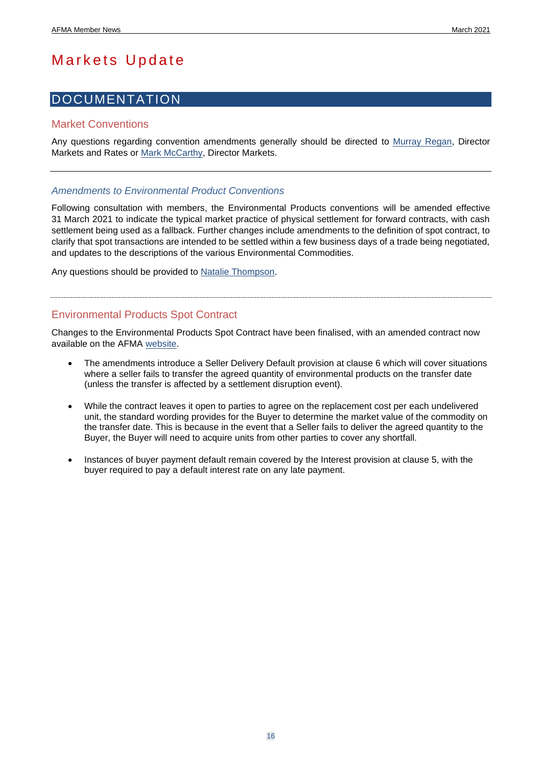## <span id="page-15-0"></span>Markets Update

### <span id="page-15-1"></span>DOCUMENTATION

#### Market Conventions

Any questions regarding convention amendments generally should be directed to [Murray Regan,](mailto:mregan@afma.com.au) Director Markets and Rates or [Mark McCarthy,](mailto:mmcarthy@afma.com.au) Director Markets.

#### *Amendments to Environmental Product Conventions*

Following consultation with members, the Environmental Products conventions will be amended effective 31 March 2021 to indicate the typical market practice of physical settlement for forward contracts, with cash settlement being used as a fallback. Further changes include amendments to the definition of spot contract, to clarify that spot transactions are intended to be settled within a few business days of a trade being negotiated, and updates to the descriptions of the various Environmental Commodities.

Any questions should be provided to [Natalie Thompson.](mailto:nthompson@afma.com.au?subject=Environmental%20Products%20Conventions)

### Environmental Products Spot Contract

Changes to the Environmental Products Spot Contract have been finalised, with an amended contract now available on the AFMA [website.](https://afma.com.au/standards/environmental_products_information)

- The amendments introduce a Seller Delivery Default provision at clause 6 which will cover situations where a seller fails to transfer the agreed quantity of environmental products on the transfer date (unless the transfer is affected by a settlement disruption event).
- While the contract leaves it open to parties to agree on the replacement cost per each undelivered unit, the standard wording provides for the Buyer to determine the market value of the commodity on the transfer date. This is because in the event that a Seller fails to deliver the agreed quantity to the Buyer, the Buyer will need to acquire units from other parties to cover any shortfall.
- Instances of buyer payment default remain covered by the Interest provision at clause 5, with the buyer required to pay a default interest rate on any late payment.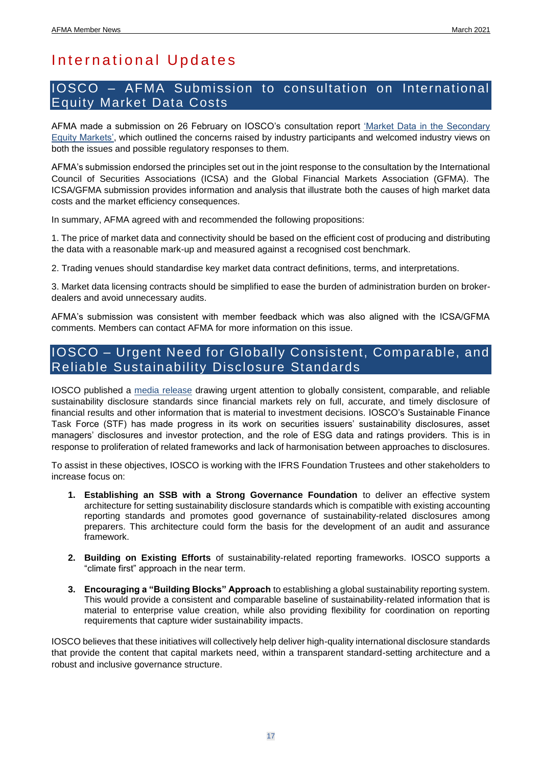## <span id="page-16-0"></span>International Updates

### <span id="page-16-1"></span>IOSCO – AFMA Submission to consultation on International Equity Market Data Costs

AFMA made a submission on 26 February on IOSCO's consultation report ['Market Data in the Secondary](https://www.iosco.org/library/pubdocs/pdf/IOSCOPD667.pdf)  [Equity Markets',](https://www.iosco.org/library/pubdocs/pdf/IOSCOPD667.pdf) which outlined the concerns raised by industry participants and welcomed industry views on both the issues and possible regulatory responses to them.

AFMA's submission endorsed the principles set out in the joint response to the consultation by the International Council of Securities Associations (ICSA) and the Global Financial Markets Association (GFMA). The ICSA/GFMA submission provides information and analysis that illustrate both the causes of high market data costs and the market efficiency consequences.

In summary, AFMA agreed with and recommended the following propositions:

1. The price of market data and connectivity should be based on the efficient cost of producing and distributing the data with a reasonable mark-up and measured against a recognised cost benchmark.

2. Trading venues should standardise key market data contract definitions, terms, and interpretations.

3. Market data licensing contracts should be simplified to ease the burden of administration burden on brokerdealers and avoid unnecessary audits.

AFMA's submission was consistent with member feedback which was also aligned with the ICSA/GFMA comments. Members can contact AFMA for more information on this issue.

### <span id="page-16-2"></span>IOSCO – Urgent Need for Globally Consistent, Comparable, and Reliable Sustainability Disclosure Standards

IOSCO published a [media release](https://www.iosco.org/news/pdf/IOSCONEWS594.pdf) drawing urgent attention to globally consistent, comparable, and reliable sustainability disclosure standards since financial markets rely on full, accurate, and timely disclosure of financial results and other information that is material to investment decisions. IOSCO's Sustainable Finance Task Force (STF) has made progress in its work on securities issuers' sustainability disclosures, asset managers' disclosures and investor protection, and the role of ESG data and ratings providers. This is in response to proliferation of related frameworks and lack of harmonisation between approaches to disclosures.

To assist in these objectives, IOSCO is working with the IFRS Foundation Trustees and other stakeholders to increase focus on:

- **1. Establishing an SSB with a Strong Governance Foundation** to deliver an effective system architecture for setting sustainability disclosure standards which is compatible with existing accounting reporting standards and promotes good governance of sustainability-related disclosures among preparers. This architecture could form the basis for the development of an audit and assurance framework.
- **2. Building on Existing Efforts** of sustainability-related reporting frameworks. IOSCO supports a "climate first" approach in the near term.
- **3. Encouraging a "Building Blocks" Approach** to establishing a global sustainability reporting system. This would provide a consistent and comparable baseline of sustainability-related information that is material to enterprise value creation, while also providing flexibility for coordination on reporting requirements that capture wider sustainability impacts.

IOSCO believes that these initiatives will collectively help deliver high-quality international disclosure standards that provide the content that capital markets need, within a transparent standard-setting architecture and a robust and inclusive governance structure.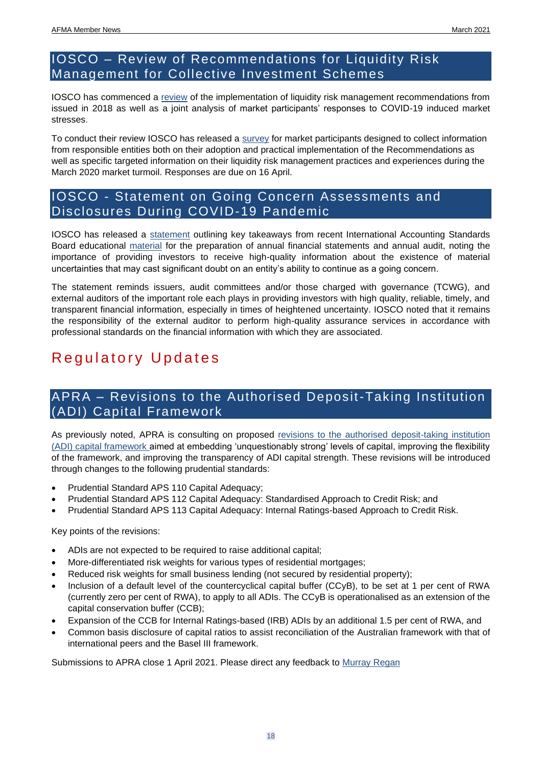### <span id="page-17-0"></span>IOSCO – Review of Recommendations for Liquidity Risk Management for Collective Investment Schemes

IOSCO has commenced a [review](https://www.iosco.org/news/pdf/IOSCONEWS597.pdf) of the implementation of liquidity risk management recommendations from issued in 2018 as well as a joint analysis of market participants' responses to COVID-19 induced market stresses.

To conduct their review IOSCO has released a [survey](https://www.iosco.org/library/pubdocs/zip/IOSCO%20LRM%20Review%20-%20Market%20Participants%20Survey.zip) for market participants designed to collect information from responsible entities both on their adoption and practical implementation of the Recommendations as well as specific targeted information on their liquidity risk management practices and experiences during the March 2020 market turmoil. Responses are due on 16 April.

### <span id="page-17-1"></span>IOSCO - Statement on Going Concern Assessments and Disclosures During COVID-19 Pandemic

IOSCO has released a [statement](https://www.iosco.org/news/pdf/IOSCONEWS598.pdf) outlining key takeaways from recent International Accounting Standards Board educational [material](https://www.ifrs.org/news-and-events/2021/01/ifrs-foundation-publishes-edu-material-to-support-companies-in-applying-going-concern-requirements/) for the preparation of annual financial statements and annual audit, noting the importance of providing investors to receive high-quality information about the existence of material uncertainties that may cast significant doubt on an entity's ability to continue as a going concern.

The statement reminds issuers, audit committees and/or those charged with governance (TCWG), and external auditors of the important role each plays in providing investors with high quality, reliable, timely, and transparent financial information, especially in times of heightened uncertainty. IOSCO noted that it remains the responsibility of the external auditor to perform high-quality assurance services in accordance with professional standards on the financial information with which they are associated.

## <span id="page-17-2"></span>Regulatory Updates

### <span id="page-17-3"></span>APRA – Revisions to the Authorised Deposit-Taking Institution (ADI) Capital Framework

As previously noted, APRA is consulting on proposed [revisions to the authorised deposit-taking institution](https://www.apra.gov.au/revisions-to-capital-framework-for-authorised-deposit-taking-institutions)  [\(ADI\) capital framework](https://www.apra.gov.au/revisions-to-capital-framework-for-authorised-deposit-taking-institutions) aimed at embedding 'unquestionably strong' levels of capital, improving the flexibility of the framework, and improving the transparency of ADI capital strength. These revisions will be introduced through changes to the following prudential standards:

- Prudential Standard APS 110 Capital Adequacy;
- Prudential Standard APS 112 Capital Adequacy: Standardised Approach to Credit Risk; and
- Prudential Standard APS 113 Capital Adequacy: Internal Ratings-based Approach to Credit Risk.

Key points of the revisions:

- ADIs are not expected to be required to raise additional capital;
- More-differentiated risk weights for various types of residential mortgages;
- Reduced risk weights for small business lending (not secured by residential property);
- Inclusion of a default level of the countercyclical capital buffer (CCyB), to be set at 1 per cent of RWA (currently zero per cent of RWA), to apply to all ADIs. The CCyB is operationalised as an extension of the capital conservation buffer (CCB);
- Expansion of the CCB for Internal Ratings-based (IRB) ADIs by an additional 1.5 per cent of RWA, and
- Common basis disclosure of capital ratios to assist reconciliation of the Australian framework with that of international peers and the Basel III framework.

Submissions to APRA close 1 April 2021. Please direct any feedback to [Murray Regan](mailto:mregan@afma.com.au)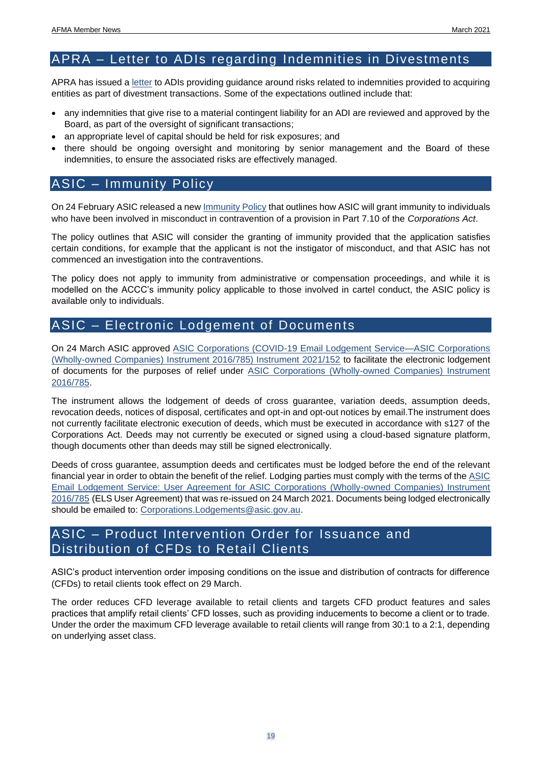### <span id="page-18-0"></span>APRA – Letter to ADIs regarding Indemnities in Divestments

APRA has issued a [letter](https://www.apra.gov.au/indemnities-divestments) to ADIs providing guidance around risks related to indemnities provided to acquiring entities as part of divestment transactions. Some of the expectations outlined include that:

- any indemnities that give rise to a material contingent liability for an ADI are reviewed and approved by the Board, as part of the oversight of significant transactions;
- an appropriate level of capital should be held for risk exposures; and
- there should be ongoing oversight and monitoring by senior management and the Board of these indemnities, to ensure the associated risks are effectively managed.

### <span id="page-18-1"></span>ASIC – Immunity Policy

On 24 February ASIC released a new **Immunity Policy that outlines how ASIC** will grant immunity to individuals who have been involved in misconduct in contravention of a provision in Part 7.10 of the *Corporations Act*.

The policy outlines that ASIC will consider the granting of immunity provided that the application satisfies certain conditions, for example that the applicant is not the instigator of misconduct, and that ASIC has not commenced an investigation into the contraventions.

The policy does not apply to immunity from administrative or compensation proceedings, and while it is modelled on the ACCC's immunity policy applicable to those involved in cartel conduct, the ASIC policy is available only to individuals.

### <span id="page-18-2"></span>ASIC – Electronic Lodgement of Documents

On 24 March ASIC approved [ASIC Corporations \(COVID-19 Email Lodgement Service—ASIC Corporations](https://download.asic.gov.au/media/6016793/instrument-2021-152.pdf)  [\(Wholly-owned Companies\) Instrument 2016/785\) Instrument 2021/152](https://download.asic.gov.au/media/6016793/instrument-2021-152.pdf) to facilitate the electronic lodgement of documents for the purposes of relief under ASIC Corporations (Wholly-owned Companies) Instrument [2016/785.](https://www.legislation.gov.au/Details/F2020C01108)

The instrument allows the lodgement of deeds of cross guarantee, variation deeds, assumption deeds, revocation deeds, notices of disposal, certificates and opt-in and opt-out notices by email.The instrument does not currently facilitate electronic execution of deeds, which must be executed in accordance with s127 of the Corporations Act. Deeds may not currently be executed or signed using a cloud-based signature platform, though documents other than deeds may still be signed electronically.

Deeds of cross guarantee, assumption deeds and certificates must be lodged before the end of the relevant financial year in order to obtain the benefit of the relief. Lodging parties must comply with the terms of the [ASIC](https://download.asic.gov.au/media/6016795/instrument-2016-785-user-agreement-reissued-24032021.pdf)  [Email Lodgement Service: User Agreement for ASIC Corporations \(Wholly-owned Companies\) Instrument](https://download.asic.gov.au/media/6016795/instrument-2016-785-user-agreement-reissued-24032021.pdf)  [2016/785](https://download.asic.gov.au/media/6016795/instrument-2016-785-user-agreement-reissued-24032021.pdf) (ELS User Agreement) that was re-issued on 24 March 2021. Documents being lodged electronically should be emailed to: [Corporations.Lodgements@asic.gov.au.](mailto:Corporations.Lodgements@asic.gov.au)

### <span id="page-18-3"></span>ASIC – Product Intervention Order for Issuance and Distribution of CFDs to Retail Clients

ASIC's product intervention order imposing conditions on the issue and distribution of contracts for difference (CFDs) to retail clients took effect on 29 March.

The order reduces CFD leverage available to retail clients and targets CFD product features and sales practices that amplify retail clients' CFD losses, such as providing inducements to become a client or to trade. Under the order the maximum CFD leverage available to retail clients will range from 30:1 to a 2:1, depending on underlying asset class.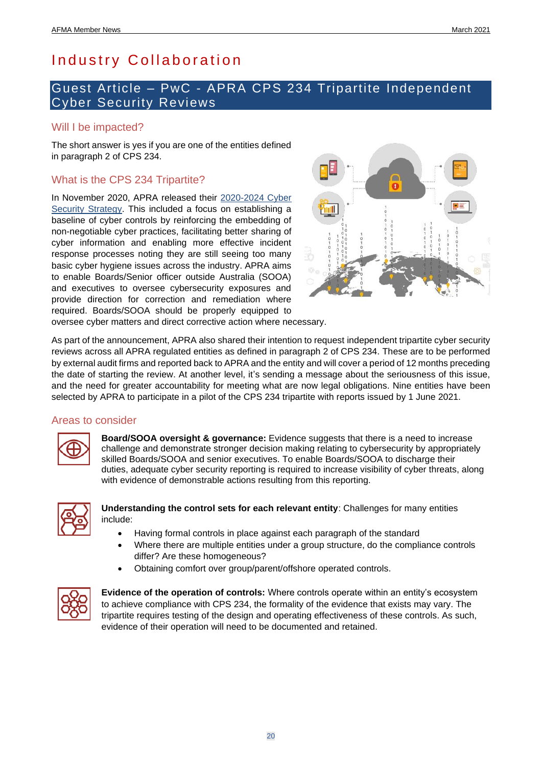## <span id="page-19-0"></span>Industry Collaboration

### <span id="page-19-1"></span>Guest Article – PwC - APRA CPS 234 Tripartite Independent Cyber Security Reviews

### Will I be impacted?

The short answer is yes if you are one of the entities defined in paragraph 2 of CPS 234.

### What is the CPS 234 Tripartite?

In November 2020, APRA released their [2020-2024 Cyber](https://www.apra.gov.au/news-and-publications/executive-board-member-geoff-summerhayes-speech-to-financial-services)  [Security Strategy.](https://www.apra.gov.au/news-and-publications/executive-board-member-geoff-summerhayes-speech-to-financial-services) This included a focus on establishing a baseline of cyber controls by reinforcing the embedding of non-negotiable cyber practices, facilitating better sharing of cyber information and enabling more effective incident response processes noting they are still seeing too many basic cyber hygiene issues across the industry. APRA aims to enable Boards/Senior officer outside Australia (SOOA) and executives to oversee cybersecurity exposures and provide direction for correction and remediation where required. Boards/SOOA should be properly equipped to



oversee cyber matters and direct corrective action where necessary.

As part of the announcement, APRA also shared their intention to request independent tripartite cyber security reviews across all APRA regulated entities as defined in paragraph 2 of CPS 234. These are to be performed by external audit firms and reported back to APRA and the entity and will cover a period of 12 months preceding the date of starting the review. At another level, it's sending a message about the seriousness of this issue, and the need for greater accountability for meeting what are now legal obligations. Nine entities have been selected by APRA to participate in a pilot of the CPS 234 tripartite with reports issued by 1 June 2021.

#### Areas to consider



**Board/SOOA oversight & governance:** Evidence suggests that there is a need to increase challenge and demonstrate stronger decision making relating to cybersecurity by appropriately skilled Boards/SOOA and senior executives. To enable Boards/SOOA to discharge their duties, adequate cyber security reporting is required to increase visibility of cyber threats, along with evidence of demonstrable actions resulting from this reporting.



**Understanding the control sets for each relevant entity**: Challenges for many entities include:

- Having formal controls in place against each paragraph of the standard
- Where there are multiple entities under a group structure, do the compliance controls differ? Are these homogeneous?
- Obtaining comfort over group/parent/offshore operated controls.



**Evidence of the operation of controls:** Where controls operate within an entity's ecosystem to achieve compliance with CPS 234, the formality of the evidence that exists may vary. The tripartite requires testing of the design and operating effectiveness of these controls. As such, evidence of their operation will need to be documented and retained.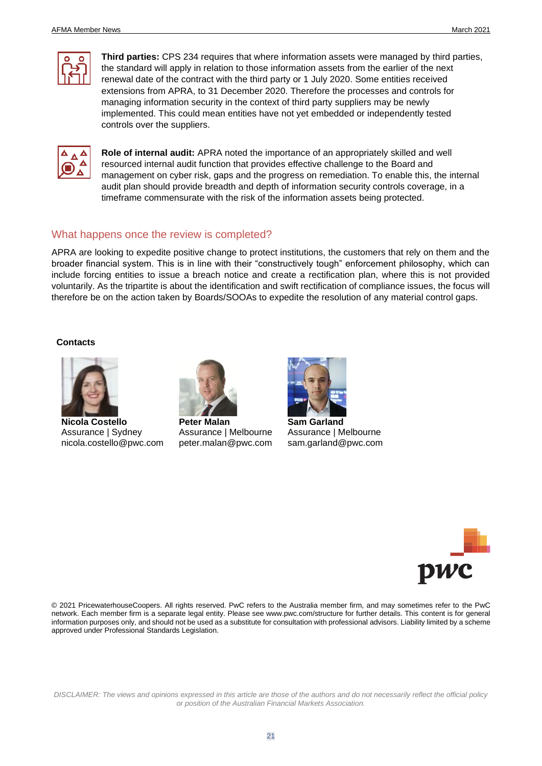

**Third parties:** CPS 234 requires that where information assets were managed by third parties, the standard will apply in relation to those information assets from the earlier of the next renewal date of the contract with the third party or 1 July 2020. Some entities received extensions from APRA, to 31 December 2020. Therefore the processes and controls for managing information security in the context of third party suppliers may be newly implemented. This could mean entities have not yet embedded or independently tested controls over the suppliers.



**Role of internal audit:** APRA noted the importance of an appropriately skilled and well resourced internal audit function that provides effective challenge to the Board and management on cyber risk, gaps and the progress on remediation. To enable this, the internal audit plan should provide breadth and depth of information security controls coverage, in a timeframe commensurate with the risk of the information assets being protected.

#### What happens once the review is completed?

APRA are looking to expedite positive change to protect institutions, the customers that rely on them and the broader financial system. This is in line with their "constructively tough" enforcement philosophy, which can include forcing entities to issue a breach notice and create a rectification plan, where this is not provided voluntarily. As the tripartite is about the identification and swift rectification of compliance issues, the focus will therefore be on the action taken by Boards/SOOAs to expedite the resolution of any material control gaps.

#### **Contacts**



**Nicola Costello** Assurance | Sydney nicola.costello@pwc.com



**Peter Malan** Assurance | Melbourne peter.malan@pwc.com



**Sam Garland** Assurance | Melbourne sam.garland@pwc.com



© 2021 PricewaterhouseCoopers. All rights reserved. PwC refers to the Australia member firm, and may sometimes refer to the PwC network. Each member firm is a separate legal entity. Please see www.pwc.com/structure for further details. This content is for general information purposes only, and should not be used as a substitute for consultation with professional advisors. Liability limited by a scheme approved under Professional Standards Legislation.

*DISCLAIMER: The views and opinions expressed in this article are those of the authors and do not necessarily reflect the official policy or position of the Australian Financial Markets Association.*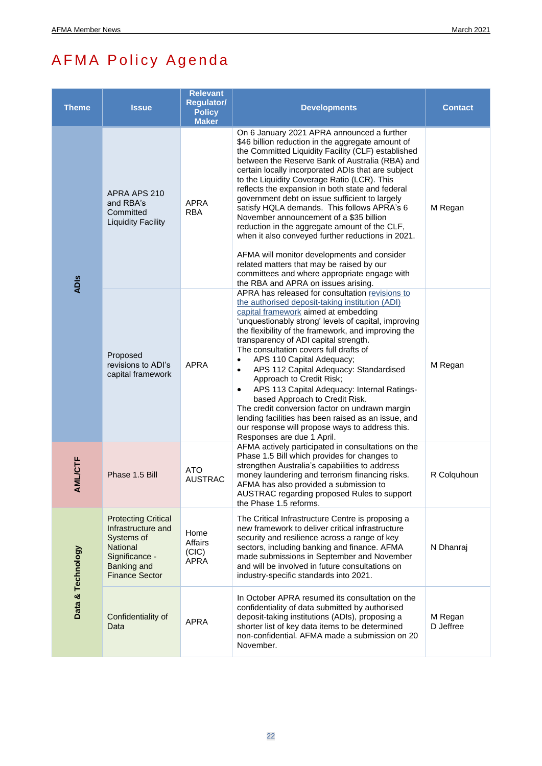# <span id="page-21-0"></span>AFMA Policy Agenda

| <b>Theme</b>      | <b>Issue</b>                                                                                                                                | <b>Relevant</b><br><b>Regulator/</b><br><b>Policy</b><br><b>Maker</b> | <b>Developments</b>                                                                                                                                                                                                                                                                                                                                                                                                                                                                                                                                                                                                                                                                                                                                                                                    | <b>Contact</b>       |
|-------------------|---------------------------------------------------------------------------------------------------------------------------------------------|-----------------------------------------------------------------------|--------------------------------------------------------------------------------------------------------------------------------------------------------------------------------------------------------------------------------------------------------------------------------------------------------------------------------------------------------------------------------------------------------------------------------------------------------------------------------------------------------------------------------------------------------------------------------------------------------------------------------------------------------------------------------------------------------------------------------------------------------------------------------------------------------|----------------------|
| <b>ADIS</b>       | APRA APS 210<br>and RBA's<br>Committed<br><b>Liquidity Facility</b>                                                                         | <b>APRA</b><br><b>RBA</b>                                             | On 6 January 2021 APRA announced a further<br>\$46 billion reduction in the aggregate amount of<br>the Committed Liquidity Facility (CLF) established<br>between the Reserve Bank of Australia (RBA) and<br>certain locally incorporated ADIs that are subject<br>to the Liquidity Coverage Ratio (LCR). This<br>reflects the expansion in both state and federal<br>government debt on issue sufficient to largely<br>satisfy HQLA demands. This follows APRA's 6<br>November announcement of a \$35 billion<br>reduction in the aggregate amount of the CLF,<br>when it also conveyed further reductions in 2021.<br>AFMA will monitor developments and consider<br>related matters that may be raised by our<br>committees and where appropriate engage with<br>the RBA and APRA on issues arising. | M Regan              |
|                   | Proposed<br>revisions to ADI's<br>capital framework                                                                                         | <b>APRA</b>                                                           | APRA has released for consultation revisions to<br>the authorised deposit-taking institution (ADI)<br>capital framework aimed at embedding<br>'unquestionably strong' levels of capital, improving<br>the flexibility of the framework, and improving the<br>transparency of ADI capital strength.<br>The consultation covers full drafts of<br>APS 110 Capital Adequacy;<br>$\bullet$<br>APS 112 Capital Adequacy: Standardised<br>$\bullet$<br>Approach to Credit Risk;<br>APS 113 Capital Adequacy: Internal Ratings-<br>$\bullet$<br>based Approach to Credit Risk.<br>The credit conversion factor on undrawn margin<br>lending facilities has been raised as an issue, and<br>our response will propose ways to address this.<br>Responses are due 1 April.                                      | M Regan              |
| <b>AML/CTF</b>    | Phase 1.5 Bill                                                                                                                              | <b>ATO</b><br><b>AUSTRAC</b>                                          | AFMA actively participated in consultations on the<br>Phase 1.5 Bill which provides for changes to<br>strengthen Australia's capabilities to address<br>money laundering and terrorism financing risks.<br>AFMA has also provided a submission to<br>AUSTRAC regarding proposed Rules to support<br>the Phase 1.5 reforms.                                                                                                                                                                                                                                                                                                                                                                                                                                                                             | R Colquhoun          |
| Data & Technology | <b>Protecting Critical</b><br>Infrastructure and<br>Systems of<br>National<br>Significance -<br><b>Banking and</b><br><b>Finance Sector</b> | Home<br>Affairs<br>(CIC)<br>APRA                                      | The Critical Infrastructure Centre is proposing a<br>new framework to deliver critical infrastructure<br>security and resilience across a range of key<br>sectors, including banking and finance. AFMA<br>made submissions in September and November<br>and will be involved in future consultations on<br>industry-specific standards into 2021.                                                                                                                                                                                                                                                                                                                                                                                                                                                      | N Dhanraj            |
|                   | Confidentiality of<br>Data                                                                                                                  | <b>APRA</b>                                                           | In October APRA resumed its consultation on the<br>confidentiality of data submitted by authorised<br>deposit-taking institutions (ADIs), proposing a<br>shorter list of key data items to be determined<br>non-confidential. AFMA made a submission on 20<br>November.                                                                                                                                                                                                                                                                                                                                                                                                                                                                                                                                | M Regan<br>D Jeffree |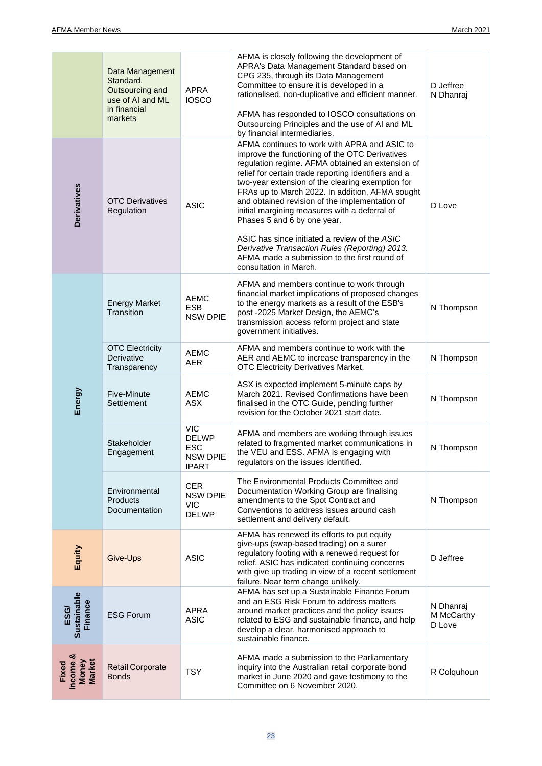|                                      | Data Management<br>Standard,<br>Outsourcing and<br>use of AI and ML<br>in financial<br>markets | APRA<br><b>IOSCO</b>                                                        | AFMA is closely following the development of<br>APRA's Data Management Standard based on<br>CPG 235, through its Data Management<br>Committee to ensure it is developed in a<br>rationalised, non-duplicative and efficient manner.<br>AFMA has responded to IOSCO consultations on<br>Outsourcing Principles and the use of AI and ML<br>by financial intermediaries.                                                                                                                                                                                                                                                           | D Jeffree<br>N Dhanraj            |
|--------------------------------------|------------------------------------------------------------------------------------------------|-----------------------------------------------------------------------------|----------------------------------------------------------------------------------------------------------------------------------------------------------------------------------------------------------------------------------------------------------------------------------------------------------------------------------------------------------------------------------------------------------------------------------------------------------------------------------------------------------------------------------------------------------------------------------------------------------------------------------|-----------------------------------|
| <b>Derivatives</b>                   | <b>OTC Derivatives</b><br>Regulation                                                           | <b>ASIC</b>                                                                 | AFMA continues to work with APRA and ASIC to<br>improve the functioning of the OTC Derivatives<br>regulation regime. AFMA obtained an extension of<br>relief for certain trade reporting identifiers and a<br>two-year extension of the clearing exemption for<br>FRAs up to March 2022. In addition, AFMA sought<br>and obtained revision of the implementation of<br>initial margining measures with a deferral of<br>Phases 5 and 6 by one year.<br>ASIC has since initiated a review of the ASIC<br>Derivative Transaction Rules (Reporting) 2013.<br>AFMA made a submission to the first round of<br>consultation in March. | D Love                            |
| Energy                               | <b>Energy Market</b><br>Transition                                                             | <b>AEMC</b><br><b>ESB</b><br><b>NSW DPIE</b>                                | AFMA and members continue to work through<br>financial market implications of proposed changes<br>to the energy markets as a result of the ESB's<br>post -2025 Market Design, the AEMC's<br>transmission access reform project and state<br>government initiatives.                                                                                                                                                                                                                                                                                                                                                              | N Thompson                        |
|                                      | <b>OTC Electricity</b><br>Derivative<br>Transparency                                           | <b>AEMC</b><br><b>AER</b>                                                   | AFMA and members continue to work with the<br>AER and AEMC to increase transparency in the<br>OTC Electricity Derivatives Market.                                                                                                                                                                                                                                                                                                                                                                                                                                                                                                | N Thompson                        |
|                                      | Five-Minute<br>Settlement                                                                      | <b>AEMC</b><br><b>ASX</b>                                                   | ASX is expected implement 5-minute caps by<br>March 2021. Revised Confirmations have been<br>finalised in the OTC Guide, pending further<br>revision for the October 2021 start date.                                                                                                                                                                                                                                                                                                                                                                                                                                            | N Thompson                        |
|                                      | Stakeholder<br>Engagement                                                                      | <b>VIC</b><br><b>DELWP</b><br><b>ESC</b><br><b>NSW DPIE</b><br><b>IPART</b> | AFMA and members are working through issues<br>related to fragmented market communications in<br>the VEU and ESS. AFMA is engaging with<br>regulators on the issues identified.                                                                                                                                                                                                                                                                                                                                                                                                                                                  | N Thompson                        |
|                                      | Environmental<br><b>Products</b><br>Documentation                                              | <b>CER</b><br><b>NSW DPIE</b><br><b>VIC</b><br><b>DELWP</b>                 | The Environmental Products Committee and<br>Documentation Working Group are finalising<br>amendments to the Spot Contract and<br>Conventions to address issues around cash<br>settlement and delivery default.                                                                                                                                                                                                                                                                                                                                                                                                                   | N Thompson                        |
| Equity                               | Give-Ups                                                                                       | <b>ASIC</b>                                                                 | AFMA has renewed its efforts to put equity<br>give-ups (swap-based trading) on a surer<br>regulatory footing with a renewed request for<br>relief. ASIC has indicated continuing concerns<br>with give up trading in view of a recent settlement<br>failure. Near term change unlikely.                                                                                                                                                                                                                                                                                                                                          | D Jeffree                         |
| ESG/<br>Sustainable<br>Finance       | <b>ESG Forum</b>                                                                               | <b>APRA</b><br><b>ASIC</b>                                                  | AFMA has set up a Sustainable Finance Forum<br>and an ESG Risk Forum to address matters<br>around market practices and the policy issues<br>related to ESG and sustainable finance, and help<br>develop a clear, harmonised approach to<br>sustainable finance.                                                                                                                                                                                                                                                                                                                                                                  | N Dhanraj<br>M McCarthy<br>D Love |
| Income &<br>Money<br>Market<br>Fixed | <b>Retail Corporate</b><br><b>Bonds</b>                                                        | <b>TSY</b>                                                                  | AFMA made a submission to the Parliamentary<br>inquiry into the Australian retail corporate bond<br>market in June 2020 and gave testimony to the<br>Committee on 6 November 2020.                                                                                                                                                                                                                                                                                                                                                                                                                                               | R Colquhoun                       |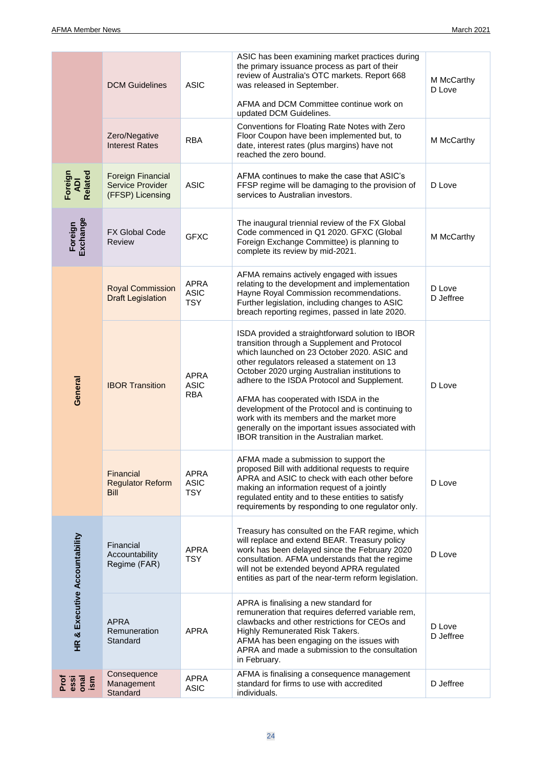|                               | <b>DCM Guidelines</b>                                     | <b>ASIC</b>                              | ASIC has been examining market practices during<br>the primary issuance process as part of their<br>review of Australia's OTC markets. Report 668<br>was released in September.<br>AFMA and DCM Committee continue work on<br>updated DCM Guidelines.                                                                                                                                                                                                                                                                                             | M McCarthy<br>D Love |
|-------------------------------|-----------------------------------------------------------|------------------------------------------|---------------------------------------------------------------------------------------------------------------------------------------------------------------------------------------------------------------------------------------------------------------------------------------------------------------------------------------------------------------------------------------------------------------------------------------------------------------------------------------------------------------------------------------------------|----------------------|
|                               | Zero/Negative<br><b>Interest Rates</b>                    | <b>RBA</b>                               | Conventions for Floating Rate Notes with Zero<br>Floor Coupon have been implemented but, to<br>date, interest rates (plus margins) have not<br>reached the zero bound.                                                                                                                                                                                                                                                                                                                                                                            | M McCarthy           |
| Foreign<br>ADI<br>Related     | Foreign Financial<br>Service Provider<br>(FFSP) Licensing | <b>ASIC</b>                              | AFMA continues to make the case that ASIC's<br>FFSP regime will be damaging to the provision of<br>services to Australian investors.                                                                                                                                                                                                                                                                                                                                                                                                              | D Love               |
| Exchange<br>Foreign           | <b>FX Global Code</b><br><b>Review</b>                    | <b>GFXC</b>                              | The inaugural triennial review of the FX Global<br>Code commenced in Q1 2020. GFXC (Global<br>Foreign Exchange Committee) is planning to<br>complete its review by mid-2021.                                                                                                                                                                                                                                                                                                                                                                      | M McCarthy           |
|                               | <b>Royal Commission</b><br><b>Draft Legislation</b>       | <b>APRA</b><br><b>ASIC</b><br><b>TSY</b> | AFMA remains actively engaged with issues<br>relating to the development and implementation<br>Hayne Royal Commission recommendations.<br>Further legislation, including changes to ASIC<br>breach reporting regimes, passed in late 2020.                                                                                                                                                                                                                                                                                                        | D Love<br>D Jeffree  |
| General                       | <b>IBOR Transition</b>                                    | APRA<br><b>ASIC</b><br><b>RBA</b>        | ISDA provided a straightforward solution to IBOR<br>transition through a Supplement and Protocol<br>which launched on 23 October 2020, ASIC and<br>other regulators released a statement on 13<br>October 2020 urging Australian institutions to<br>adhere to the ISDA Protocol and Supplement.<br>AFMA has cooperated with ISDA in the<br>development of the Protocol and is continuing to<br>work with its members and the market more<br>generally on the important issues associated with<br><b>IBOR</b> transition in the Australian market. | D Love               |
|                               | Financial<br><b>Regulator Reform</b><br><b>Bill</b>       | <b>APRA</b><br><b>ASIC</b><br><b>TSY</b> | AFMA made a submission to support the<br>proposed Bill with additional requests to require<br>APRA and ASIC to check with each other before<br>making an information request of a jointly<br>regulated entity and to these entities to satisfy<br>requirements by responding to one regulator only.                                                                                                                                                                                                                                               | D Love               |
| HR & Executive Accountability | Financial<br>Accountability<br>Regime (FAR)               | <b>APRA</b><br><b>TSY</b>                | Treasury has consulted on the FAR regime, which<br>will replace and extend BEAR. Treasury policy<br>work has been delayed since the February 2020<br>consultation. AFMA understands that the regime<br>will not be extended beyond APRA regulated<br>entities as part of the near-term reform legislation.                                                                                                                                                                                                                                        | D Love               |
|                               | <b>APRA</b><br>Remuneration<br>Standard                   | <b>APRA</b>                              | APRA is finalising a new standard for<br>remuneration that requires deferred variable rem,<br>clawbacks and other restrictions for CEOs and<br>Highly Remunerated Risk Takers.<br>AFMA has been engaging on the issues with<br>APRA and made a submission to the consultation<br>in February.                                                                                                                                                                                                                                                     | D Love<br>D Jeffree  |
| Prof<br>essi<br>ism<br>ism    | Consequence<br>Management<br>Standard                     | APRA<br><b>ASIC</b>                      | AFMA is finalising a consequence management<br>standard for firms to use with accredited<br>individuals.                                                                                                                                                                                                                                                                                                                                                                                                                                          | D Jeffree            |